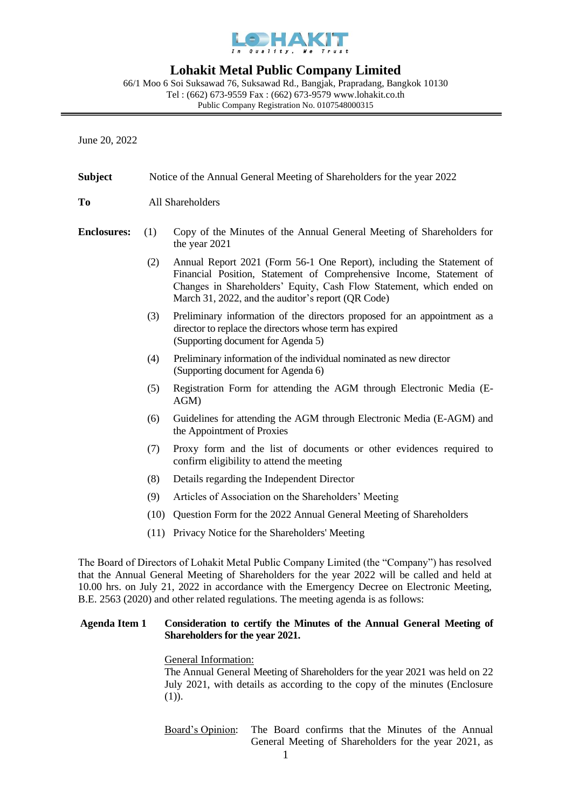

# **Lohakit Metal Public Company Limited**

66/1 Moo 6 Soi Suksawad 76, Suksawad Rd., Bangjak, Prapradang, Bangkok 10130 Tel : (662) 673-9559 Fax : (662) 673-9579 [www.lohakit.co.th](http://www.lohakit.co.th/) Public Company Registration No. 0107548000315

June 20, 2022

| <b>Subject</b>     | Notice of the Annual General Meeting of Shareholders for the year 2022 |                                                                                                                                                                                                                                                                            |  |
|--------------------|------------------------------------------------------------------------|----------------------------------------------------------------------------------------------------------------------------------------------------------------------------------------------------------------------------------------------------------------------------|--|
| To                 | All Shareholders                                                       |                                                                                                                                                                                                                                                                            |  |
| <b>Enclosures:</b> | (1)                                                                    | Copy of the Minutes of the Annual General Meeting of Shareholders for<br>the year 2021                                                                                                                                                                                     |  |
|                    | (2)                                                                    | Annual Report 2021 (Form 56-1 One Report), including the Statement of<br>Financial Position, Statement of Comprehensive Income, Statement of<br>Changes in Shareholders' Equity, Cash Flow Statement, which ended on<br>March 31, 2022, and the auditor's report (QR Code) |  |
|                    | (3)                                                                    | Preliminary information of the directors proposed for an appointment as a<br>director to replace the directors whose term has expired<br>(Supporting document for Agenda 5)                                                                                                |  |
|                    | (4)                                                                    | Preliminary information of the individual nominated as new director<br>(Supporting document for Agenda 6)                                                                                                                                                                  |  |
|                    | (5)                                                                    | Registration Form for attending the AGM through Electronic Media (E-<br>$AGM$ )                                                                                                                                                                                            |  |
|                    | (6)                                                                    | Guidelines for attending the AGM through Electronic Media (E-AGM) and<br>the Appointment of Proxies                                                                                                                                                                        |  |
|                    | (7)                                                                    | Proxy form and the list of documents or other evidences required to<br>confirm eligibility to attend the meeting                                                                                                                                                           |  |
|                    | (8)                                                                    | Details regarding the Independent Director                                                                                                                                                                                                                                 |  |
|                    | (9)                                                                    | Articles of Association on the Shareholders' Meeting                                                                                                                                                                                                                       |  |
|                    | (10)                                                                   | Question Form for the 2022 Annual General Meeting of Shareholders                                                                                                                                                                                                          |  |
|                    | (11)                                                                   | Privacy Notice for the Shareholders' Meeting                                                                                                                                                                                                                               |  |
|                    |                                                                        |                                                                                                                                                                                                                                                                            |  |

The Board of Directors of Lohakit Metal Public Company Limited (the "Company") has resolved that the Annual General Meeting of Shareholders for the year 2022 will be called and held at 10.00 hrs. on July 21, 2022 in accordance with the Emergency Decree on Electronic Meeting, B.E. 2563 (2020) and other related regulations. The meeting agenda is as follows:

## **Agenda Item 1 Consideration to certify the Minutes of the Annual General Meeting of Shareholders for the year 2021.**

# General Information:

The Annual General Meeting of Shareholders for the year 2021 was held on 22 July 2021, with details as according to the copy of the minutes (Enclosure  $(1)$ ).

Board's Opinion: The Board confirms that the Minutes of the Annual General Meeting of Shareholders for the year 2021, as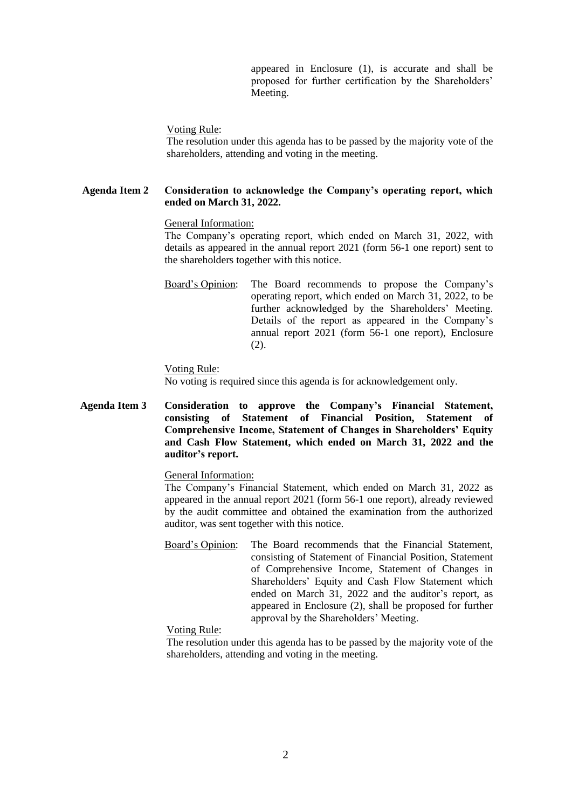appeared in Enclosure (1), is accurate and shall be proposed for further certification by the Shareholders' Meeting.

Voting Rule:

The resolution under this agenda has to be passed by the majority vote of the shareholders, attending and voting in the meeting.

## **Agenda Item 2 Consideration to acknowledge the Company's operating report, which ended on March 31, 2022.**

#### General Information:

The Company's operating report, which ended on March 31, 2022, with details as appeared in the annual report 2021 (form 56-1 one report) sent to the shareholders together with this notice.

Board's Opinion: The Board recommends to propose the Company's operating report, which ended on March 31, 2022, to be further acknowledged by the Shareholders' Meeting. Details of the report as appeared in the Company's annual report 2021 (form 56-1 one report), Enclosure (2).

#### Voting Rule:

No voting is required since this agenda is for acknowledgement only.

**Agenda Item 3 Consideration to approve the Company's Financial Statement, consisting of Statement of Financial Position, Statement of Comprehensive Income, Statement of Changes in Shareholders' Equity and Cash Flow Statement, which ended on March 31, 2022 and the auditor's report.**

# General Information:

The Company's Financial Statement, which ended on March 31, 2022 as appeared in the annual report 2021 (form 56-1 one report), already reviewed by the audit committee and obtained the examination from the authorized auditor, was sent together with this notice.

Board's Opinion: The Board recommends that the Financial Statement, consisting of Statement of Financial Position, Statement of Comprehensive Income, Statement of Changes in Shareholders' Equity and Cash Flow Statement which ended on March 31, 2022 and the auditor's report, as appeared in Enclosure (2), shall be proposed for further approval by the Shareholders' Meeting.

#### Voting Rule:

The resolution under this agenda has to be passed by the majority vote of the shareholders, attending and voting in the meeting.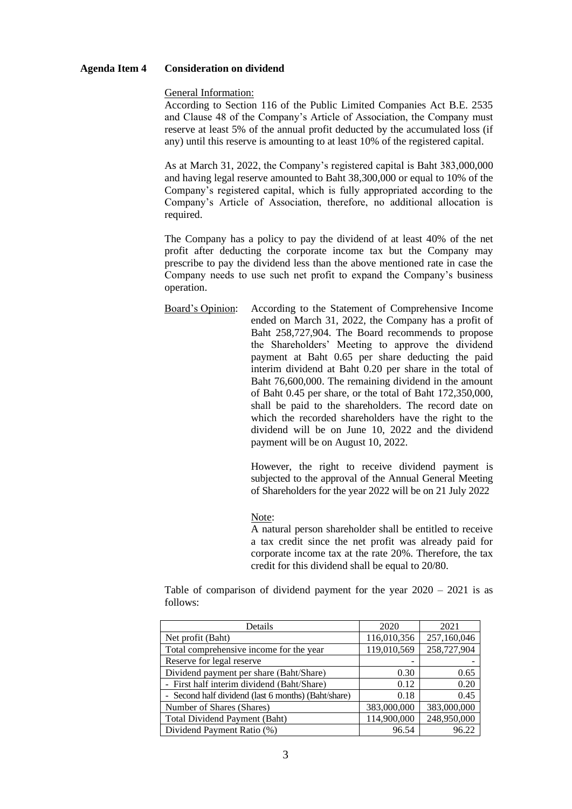#### **Agenda Item 4 Consideration on dividend**

General Information:

According to Section 116 of the Public Limited Companies Act B.E. 2535 and Clause 48 of the Company's Article of Association, the Company must reserve at least 5% of the annual profit deducted by the accumulated loss (if any) until this reserve is amounting to at least 10% of the registered capital.

As at March 31, 2022, the Company's registered capital is Baht 383,000,000 and having legal reserve amounted to Baht 38,300,000 or equal to 10% of the Company's registered capital, which is fully appropriated according to the Company's Article of Association, therefore, no additional allocation is required.

The Company has a policy to pay the dividend of at least 40% of the net profit after deducting the corporate income tax but the Company may prescribe to pay the dividend less than the above mentioned rate in case the Company needs to use such net profit to expand the Company's business operation.

Board's Opinion: According to the Statement of Comprehensive Income ended on March 31, 2022, the Company has a profit of Baht 258,727,904. The Board recommends to propose the Shareholders' Meeting to approve the dividend payment at Baht 0.65 per share deducting the paid interim dividend at Baht 0.20 per share in the total of Baht 76,600,000. The remaining dividend in the amount of Baht 0.45 per share, or the total of Baht 172,350,000, shall be paid to the shareholders. The record date on which the recorded shareholders have the right to the dividend will be on June 10, 2022 and the dividend payment will be on August 10, 2022.

> However, the right to receive dividend payment is subjected to the approval of the Annual General Meeting of Shareholders for the year 2022 will be on 21 July 2022

Note:

A natural person shareholder shall be entitled to receive a tax credit since the net profit was already paid for corporate income tax at the rate 20%. Therefore, the tax credit for this dividend shall be equal to 20/80.

Table of comparison of dividend payment for the year  $2020 - 2021$  is as follows:

| Details                                             | 2020        | 2021        |
|-----------------------------------------------------|-------------|-------------|
| Net profit (Baht)                                   | 116,010,356 | 257,160,046 |
| Total comprehensive income for the year             | 119,010,569 | 258,727,904 |
| Reserve for legal reserve                           |             |             |
| Dividend payment per share (Baht/Share)             | 0.30        | 0.65        |
| - First half interim dividend (Baht/Share)          | 0.12        | 0.20        |
| - Second half dividend (last 6 months) (Baht/share) | 0.18        | 0.45        |
| Number of Shares (Shares)                           | 383,000,000 | 383,000,000 |
| <b>Total Dividend Payment (Baht)</b>                | 114,900,000 | 248,950,000 |
| Dividend Payment Ratio (%)                          | 96.54       | 96.22       |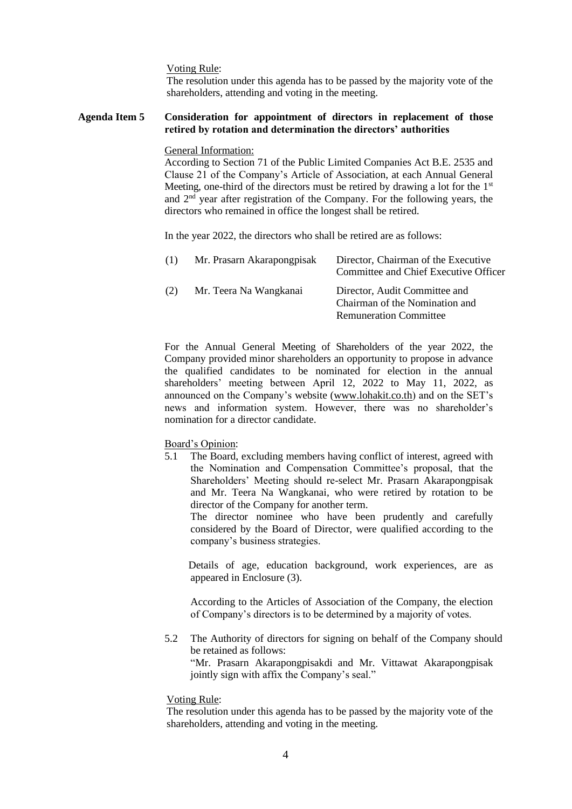Voting Rule:

The resolution under this agenda has to be passed by the majority vote of the shareholders, attending and voting in the meeting.

#### **Agenda Item 5 Consideration for appointment of directors in replacement of those retired by rotation and determination the directors' authorities**

General Information:

According to Section 71 of the Public Limited Companies Act B.E. 2535 and Clause 21 of the Company's Article of Association, at each Annual General Meeting, one-third of the directors must be retired by drawing a lot for the 1<sup>st</sup> and 2nd year after registration of the Company. For the following years, the directors who remained in office the longest shall be retired.

In the year 2022, the directors who shall be retired are as follows:

| (1) | Mr. Prasarn Akarapongpisak | Director, Chairman of the Executive<br>Committee and Chief Executive Officer                     |
|-----|----------------------------|--------------------------------------------------------------------------------------------------|
| (2) | Mr. Teera Na Wangkanai     | Director, Audit Committee and<br>Chairman of the Nomination and<br><b>Remuneration Committee</b> |

For the Annual General Meeting of Shareholders of the year 2022, the Company provided minor shareholders an opportunity to propose in advance the qualified candidates to be nominated for election in the annual shareholders' meeting between April 12, 2022 to May 11, 2022, as announced on the Company's website [\(www.lohakit.co.th\)](http://www.lohakit.co.th/) and on the SET's news and information system. However, there was no shareholder's nomination for a director candidate.

#### Board's Opinion:

5.1 The Board, excluding members having conflict of interest, agreed with the Nomination and Compensation Committee's proposal, that the Shareholders' Meeting should re-select Mr. Prasarn Akarapongpisak and Mr. Teera Na Wangkanai, who were retired by rotation to be director of the Company for another term.

The director nominee who have been prudently and carefully considered by the Board of Director, were qualified according to the company's business strategies.

 Details of age, education background, work experiences, are as appeared in Enclosure (3).

According to the Articles of Association of the Company, the election of Company's directors is to be determined by a majority of votes.

5.2 The Authority of directors for signing on behalf of the Company should be retained as follows:

"Mr. Prasarn Akarapongpisakdi and Mr. Vittawat Akarapongpisak jointly sign with affix the Company's seal."

#### Voting Rule:

The resolution under this agenda has to be passed by the majority vote of the shareholders, attending and voting in the meeting.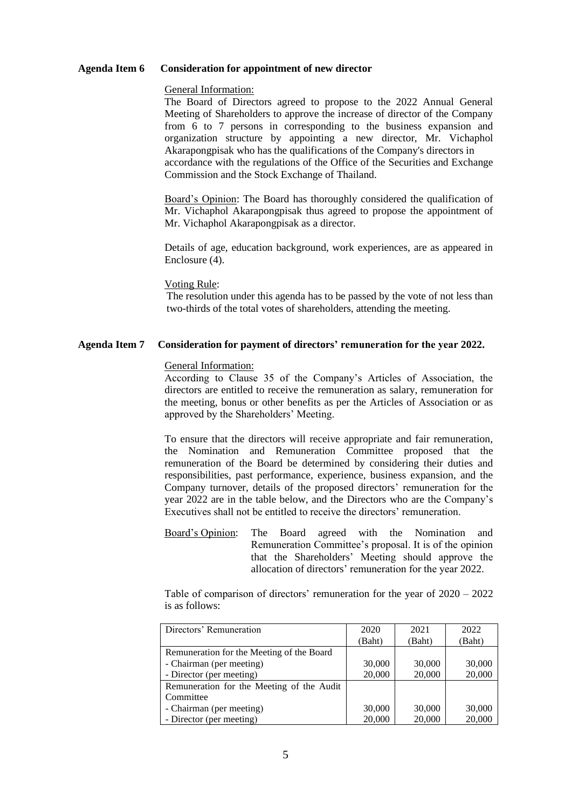#### **Agenda Item 6 Consideration for appointment of new director**

#### General Information:

The Board of Directors agreed to propose to the 2022 Annual General Meeting of Shareholders to approve the increase of director of the Company from 6 to 7 persons in corresponding to the business expansion and organization structure by appointing a new director, Mr. Vichaphol Akarapongpisak who has the qualifications of the Company's directors in accordance with the regulations of the Office of the Securities and Exchange Commission and the Stock Exchange of Thailand.

Board's Opinion: The Board has thoroughly considered the qualification of Mr. Vichaphol Akarapongpisak thus agreed to propose the appointment of Mr. Vichaphol Akarapongpisak as a director.

Details of age, education background, work experiences, are as appeared in Enclosure (4).

#### Voting Rule:

The resolution under this agenda has to be passed by the vote of not less than two-thirds of the total votes of shareholders, attending the meeting.

#### **Agenda Item 7 Consideration for payment of directors' remuneration for the year 2022.**

#### General Information:

According to Clause 35 of the Company's Articles of Association, the directors are entitled to receive the remuneration as salary, remuneration for the meeting, bonus or other benefits as per the Articles of Association or as approved by the Shareholders' Meeting.

To ensure that the directors will receive appropriate and fair remuneration, the Nomination and Remuneration Committee proposed that the remuneration of the Board be determined by considering their duties and responsibilities, past performance, experience, business expansion, and the Company turnover, details of the proposed directors' remuneration for the year 2022 are in the table below, and the Directors who are the Company's Executives shall not be entitled to receive the directors' remuneration.

Board's Opinion: The Board agreed with the Nomination and Remuneration Committee's proposal. It is of the opinion that the Shareholders' Meeting should approve the allocation of directors' remuneration for the year 2022.

Table of comparison of directors' remuneration for the year of 2020 – 2022 is as follows:

| Directors' Remuneration                   | 2020   | 2021   | 2022   |
|-------------------------------------------|--------|--------|--------|
|                                           | Baht)  | (Baht) | (Baht) |
| Remuneration for the Meeting of the Board |        |        |        |
| - Chairman (per meeting)                  | 30,000 | 30,000 | 30,000 |
| - Director (per meeting)                  | 20,000 | 20,000 | 20,000 |
| Remuneration for the Meeting of the Audit |        |        |        |
| Committee                                 |        |        |        |
| - Chairman (per meeting)                  | 30,000 | 30,000 | 30,000 |
| - Director (per meeting)                  | 20,000 | 20,000 | 20,000 |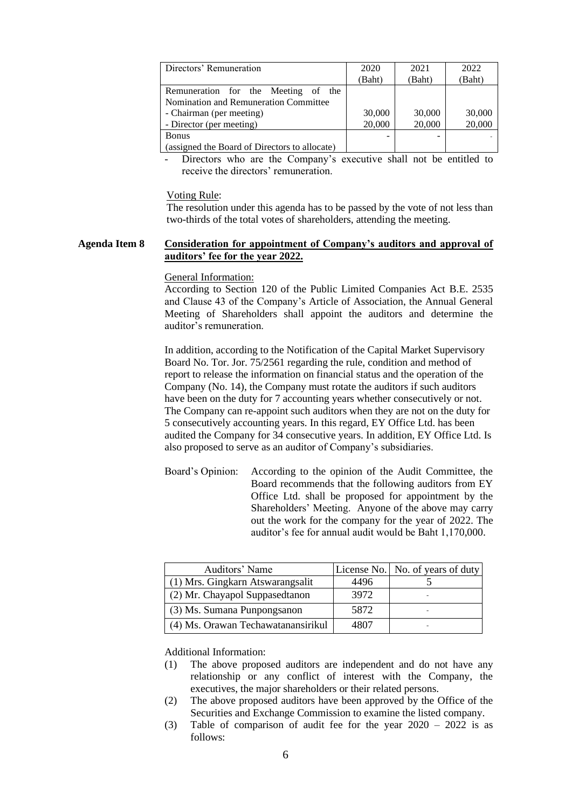| Directors' Remuneration                       | 2020   | 2021   | 2022   |
|-----------------------------------------------|--------|--------|--------|
|                                               | Baht)  | (Baht) | Baht)  |
| Remuneration for the Meeting of the           |        |        |        |
| Nomination and Remuneration Committee         |        |        |        |
| - Chairman (per meeting)                      | 30,000 | 30,000 | 30,000 |
| - Director (per meeting)                      | 20,000 | 20,000 | 20,000 |
| <b>Bonus</b>                                  | -      |        |        |
| (assigned the Board of Directors to allocate) |        |        |        |

Directors who are the Company's executive shall not be entitled to receive the directors' remuneration.

Voting Rule:

The resolution under this agenda has to be passed by the vote of not less than two-thirds of the total votes of shareholders, attending the meeting.

#### **Agenda Item 8 Consideration for appointment of Company's auditors and approval of auditors' fee for the year 2022.**

#### General Information:

According to Section 120 of the Public Limited Companies Act B.E. 2535 and Clause 43 of the Company's Article of Association, the Annual General Meeting of Shareholders shall appoint the auditors and determine the auditor's remuneration.

In addition, according to the Notification of the Capital Market Supervisory Board No. Tor. Jor. 75/2561 regarding the rule, condition and method of report to release the information on financial status and the operation of the Company (No. 14), the Company must rotate the auditors if such auditors have been on the duty for 7 accounting years whether consecutively or not. The Company can re-appoint such auditors when they are not on the duty for 5 consecutively accounting years. In this regard, EY Office Ltd. has been audited the Company for 34 consecutive years. In addition, EY Office Ltd. Is also proposed to serve as an auditor of Company's subsidiaries.

Board's Opinion: According to the opinion of the Audit Committee, the Board recommends that the following auditors from EY Office Ltd. shall be proposed for appointment by the Shareholders' Meeting. Anyone of the above may carry out the work for the company for the year of 2022. The auditor's fee for annual audit would be Baht 1,170,000.

| Auditors' Name                     |      | License No. No. of years of duty |
|------------------------------------|------|----------------------------------|
| (1) Mrs. Gingkarn Atswarangsalit   | 4496 |                                  |
| (2) Mr. Chayapol Suppasedtanon     | 3972 |                                  |
| (3) Ms. Sumana Punpongsanon        | 5872 |                                  |
| (4) Ms. Orawan Techawatanansirikul | 4807 |                                  |

Additional Information:

- (1) The above proposed auditors are independent and do not have any relationship or any conflict of interest with the Company, the executives, the major shareholders or their related persons.
- (2) The above proposed auditors have been approved by the Office of the Securities and Exchange Commission to examine the listed company.
- (3) Table of comparison of audit fee for the year 2020 2022 is as follows: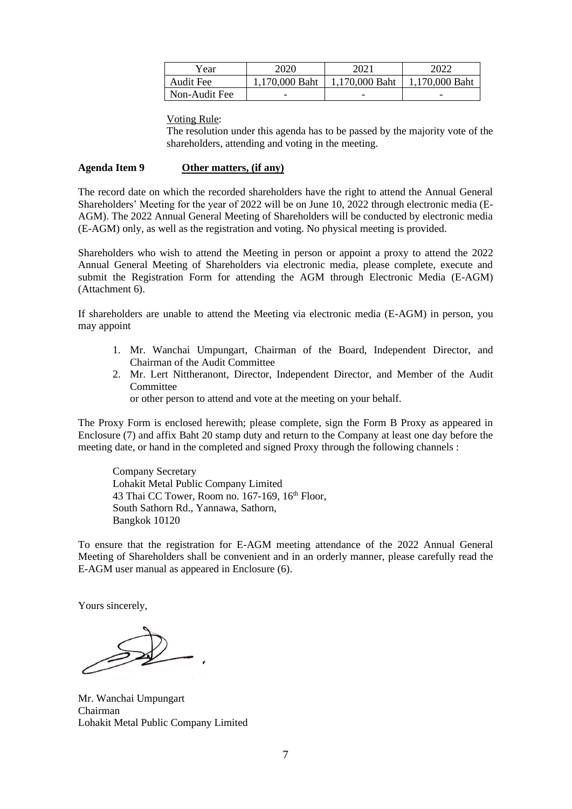| Year          | 2020           | 2021           | 2022           |
|---------------|----------------|----------------|----------------|
| Audit Fee     | 1,170,000 Baht | 1,170,000 Baht | 1,170,000 Baht |
| Non-Audit Fee | -              |                | -              |

#### Voting Rule:

The resolution under this agenda has to be passed by the majority vote of the shareholders, attending and voting in the meeting.

#### **Agenda Item 9 Other matters, (if any)**

The record date on which the recorded shareholders have the right to attend the Annual General Shareholders' Meeting for the year of 2022 will be on June 10, 2022 through electronic media (E-AGM). The 2022 Annual General Meeting of Shareholders will be conducted by electronic media (E-AGM) only, as well as the registration and voting. No physical meeting is provided.

Shareholders who wish to attend the Meeting in person or appoint a proxy to attend the 2022 Annual General Meeting of Shareholders via electronic media, please complete, execute and submit the Registration Form for attending the AGM through Electronic Media (E-AGM) (Attachment 6).

If shareholders are unable to attend the Meeting via electronic media (E-AGM) in person, you may appoint

- 1. Mr. Wanchai Umpungart, Chairman of the Board, Independent Director, and Chairman of the Audit Committee
- 2. Mr. Lert Nittheranont, Director, Independent Director, and Member of the Audit **Committee** 
	- or other person to attend and vote at the meeting on your behalf.

The Proxy Form is enclosed herewith; please complete, sign the Form B Proxy as appeared in Enclosure (7) and affix Baht 20 stamp duty and return to the Company at least one day before the meeting date, or hand in the completed and signed Proxy through the following channels :

Company Secretary Lohakit Metal Public Company Limited 43 Thai CC Tower, Room no.  $167-169$ ,  $16<sup>th</sup>$  Floor, South Sathorn Rd., Yannawa, Sathorn, Bangkok 10120

To ensure that the registration for E-AGM meeting attendance of the 2022 Annual General Meeting of Shareholders shall be convenient and in an orderly manner, please carefully read the E-AGM user manual as appeared in Enclosure (6).

Yours sincerely,

Mr. Wanchai Umpungart Chairman Lohakit Metal Public Company Limited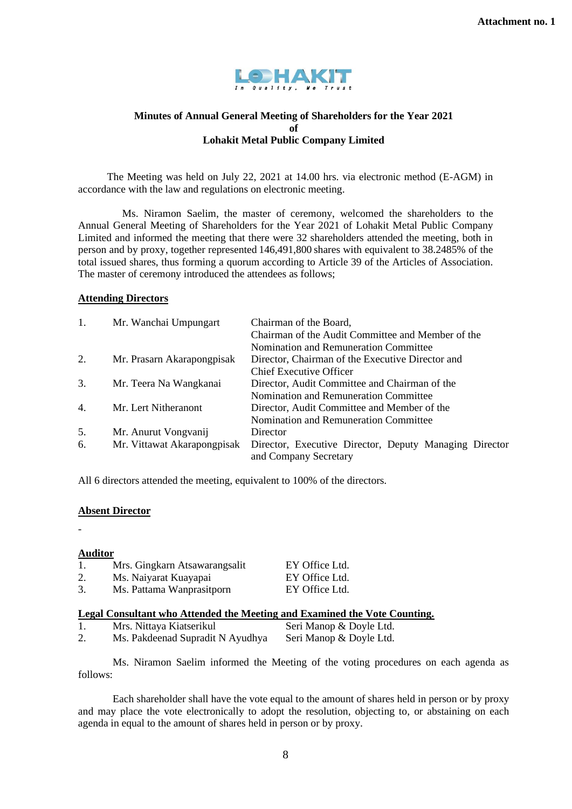

# **Minutes of Annual General Meeting of Shareholders for the Year 2021 of Lohakit Metal Public Company Limited**

 The Meeting was held on July 22, 2021 at 14.00 hrs. via electronic method (E-AGM) in accordance with the law and regulations on electronic meeting.

Ms. Niramon Saelim, the master of ceremony, welcomed the shareholders to the Annual General Meeting of Shareholders for the Year 2021 of Lohakit Metal Public Company Limited and informed the meeting that there were 32 shareholders attended the meeting, both in person and by proxy, together represented 146,491,800 shares with equivalent to 38.2485% of the total issued shares, thus forming a quorum according to Article 39 of the Articles of Association. The master of ceremony introduced the attendees as follows;

## **Attending Directors**

| 1. | Mr. Wanchai Umpungart       | Chairman of the Board,                                 |
|----|-----------------------------|--------------------------------------------------------|
|    |                             | Chairman of the Audit Committee and Member of the      |
|    |                             | Nomination and Remuneration Committee                  |
| 2. | Mr. Prasarn Akarapongpisak  | Director, Chairman of the Executive Director and       |
|    |                             | Chief Executive Officer                                |
| 3. | Mr. Teera Na Wangkanai      | Director, Audit Committee and Chairman of the          |
|    |                             | Nomination and Remuneration Committee                  |
| 4. | Mr. Lert Nitheranont        | Director, Audit Committee and Member of the            |
|    |                             | Nomination and Remuneration Committee                  |
| 5. | Mr. Anurut Vongvanij        | Director                                               |
| 6. | Mr. Vittawat Akarapongpisak | Director, Executive Director, Deputy Managing Director |
|    |                             | and Company Secretary                                  |

All 6 directors attended the meeting, equivalent to 100% of the directors.

## **Absent Director**

-

## **Auditor**

| 1. | Mrs. Gingkarn Atsawarangsalit | EY Office Ltd. |
|----|-------------------------------|----------------|
| 2. | Ms. Naiyarat Kuayapai         | EY Office Ltd. |
| 3. | Ms. Pattama Wanprasitporn     | EY Office Ltd. |

## **Legal Consultant who Attended the Meeting and Examined the Vote Counting.**

| Mrs. Nittaya Kiatserikul         | Seri Manop & Doyle Ltd. |
|----------------------------------|-------------------------|
| Ms. Pakdeenad Supradit N Ayudhya | Seri Manop & Doyle Ltd. |

Ms. Niramon Saelim informed the Meeting of the voting procedures on each agenda as follows:

 Each shareholder shall have the vote equal to the amount of shares held in person or by proxy and may place the vote electronically to adopt the resolution, objecting to, or abstaining on each agenda in equal to the amount of shares held in person or by proxy.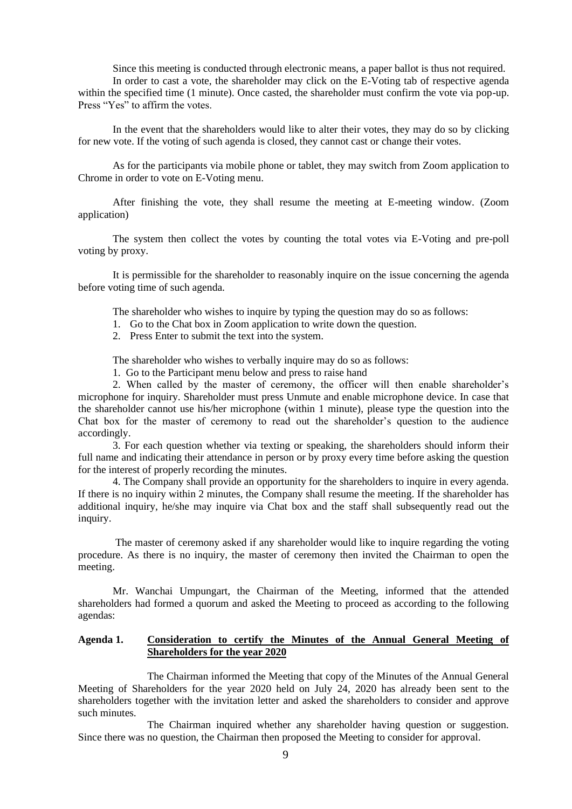Since this meeting is conducted through electronic means, a paper ballot is thus not required.

In order to cast a vote, the shareholder may click on the E-Voting tab of respective agenda within the specified time (1 minute). Once casted, the shareholder must confirm the vote via pop-up. Press "Yes" to affirm the votes.

In the event that the shareholders would like to alter their votes, they may do so by clicking for new vote. If the voting of such agenda is closed, they cannot cast or change their votes.

As for the participants via mobile phone or tablet, they may switch from Zoom application to Chrome in order to vote on E-Voting menu.

After finishing the vote, they shall resume the meeting at E-meeting window. (Zoom application)

The system then collect the votes by counting the total votes via E-Voting and pre-poll voting by proxy.

It is permissible for the shareholder to reasonably inquire on the issue concerning the agenda before voting time of such agenda.

The shareholder who wishes to inquire by typing the question may do so as follows:

- 1. Go to the Chat box in Zoom application to write down the question.
- 2. Press Enter to submit the text into the system.

The shareholder who wishes to verbally inquire may do so as follows:

1. Go to the Participant menu below and press to raise hand

2. When called by the master of ceremony, the officer will then enable shareholder's microphone for inquiry. Shareholder must press Unmute and enable microphone device. In case that the shareholder cannot use his/her microphone (within 1 minute), please type the question into the Chat box for the master of ceremony to read out the shareholder's question to the audience accordingly.

3. For each question whether via texting or speaking, the shareholders should inform their full name and indicating their attendance in person or by proxy every time before asking the question for the interest of properly recording the minutes.

4. The Company shall provide an opportunity for the shareholders to inquire in every agenda. If there is no inquiry within 2 minutes, the Company shall resume the meeting. If the shareholder has additional inquiry, he/she may inquire via Chat box and the staff shall subsequently read out the inquiry.

The master of ceremony asked if any shareholder would like to inquire regarding the voting procedure. As there is no inquiry, the master of ceremony then invited the Chairman to open the meeting.

Mr. Wanchai Umpungart, the Chairman of the Meeting, informed that the attended shareholders had formed a quorum and asked the Meeting to proceed as according to the following agendas:

## **Agenda 1. Consideration to certify the Minutes of the Annual General Meeting of Shareholders for the year 2020**

 The Chairman informed the Meeting that copy of the Minutes of the Annual General Meeting of Shareholders for the year 2020 held on July 24, 2020 has already been sent to the shareholders together with the invitation letter and asked the shareholders to consider and approve such minutes.

The Chairman inquired whether any shareholder having question or suggestion. Since there was no question, the Chairman then proposed the Meeting to consider for approval.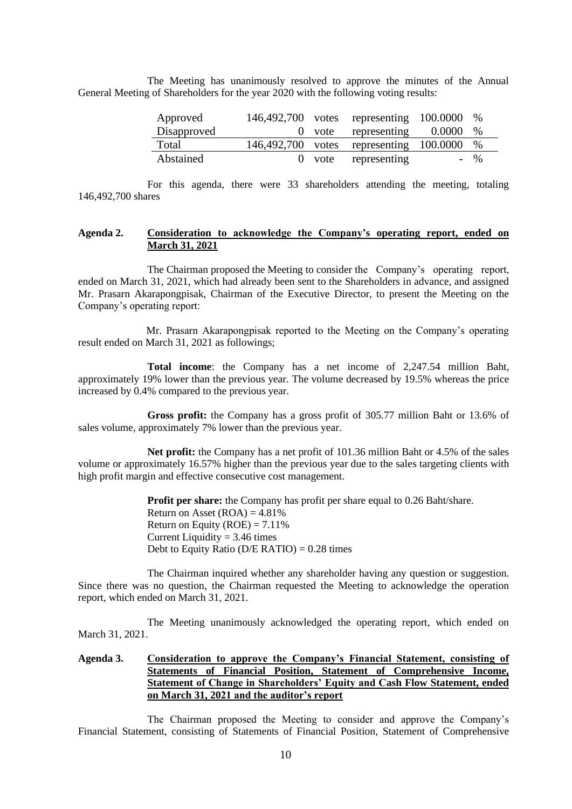The Meeting has unanimously resolved to approve the minutes of the Annual General Meeting of Shareholders for the year 2020 with the following voting results:

| Approved    |  | 146,492,700 votes representing 100.0000 % |       |
|-------------|--|-------------------------------------------|-------|
| Disapproved |  | 0 vote representing $0.0000\%$            |       |
| Total       |  | 146,492,700 votes representing 100.0000 % |       |
| Abstained   |  | 0 vote representing                       | $-$ % |

For this agenda, there were 33 shareholders attending the meeting, totaling 146,492,700 shares

## **Agenda 2. Consideration to acknowledge the Company's operating report, ended on March 31, 2021**

The Chairman proposed the Meeting to consider the Company's operating report, ended on March 31, 2021, which had already been sent to the Shareholders in advance, and assigned Mr. Prasarn Akarapongpisak, Chairman of the Executive Director, to present the Meeting on the Company's operating report:

Mr. Prasarn Akarapongpisak reported to the Meeting on the Company's operating result ended on March 31, 2021 as followings;

**Total income**: the Company has a net income of 2,247.54 million Baht, approximately 19% lower than the previous year. The volume decreased by 19.5% whereas the price increased by 0.4% compared to the previous year.

**Gross profit:** the Company has a gross profit of 305.77 million Baht or 13.6% of sales volume, approximately 7% lower than the previous year.

**Net profit:** the Company has a net profit of 101.36 million Baht or 4.5% of the sales volume or approximately 16.57% higher than the previous year due to the sales targeting clients with high profit margin and effective consecutive cost management.

> **Profit per share:** the Company has profit per share equal to 0.26 Baht/share. Return on Asset  $(ROA) = 4.81\%$ Return on Equity (ROE) =  $7.11\%$ Current Liquidity  $= 3.46$  times Debt to Equity Ratio ( $D/E$  RATIO) = 0.28 times

The Chairman inquired whether any shareholder having any question or suggestion. Since there was no question, the Chairman requested the Meeting to acknowledge the operation report, which ended on March 31, 2021.

 The Meeting unanimously acknowledged the operating report, which ended on March 31, 2021.

# **Agenda 3. Consideration to approve the Company's Financial Statement, consisting of Statements of Financial Position, Statement of Comprehensive Income, Statement of Change in Shareholders' Equity and Cash Flow Statement, ended on March 31, 2021 and the auditor's report**

The Chairman proposed the Meeting to consider and approve the Company's Financial Statement, consisting of Statements of Financial Position, Statement of Comprehensive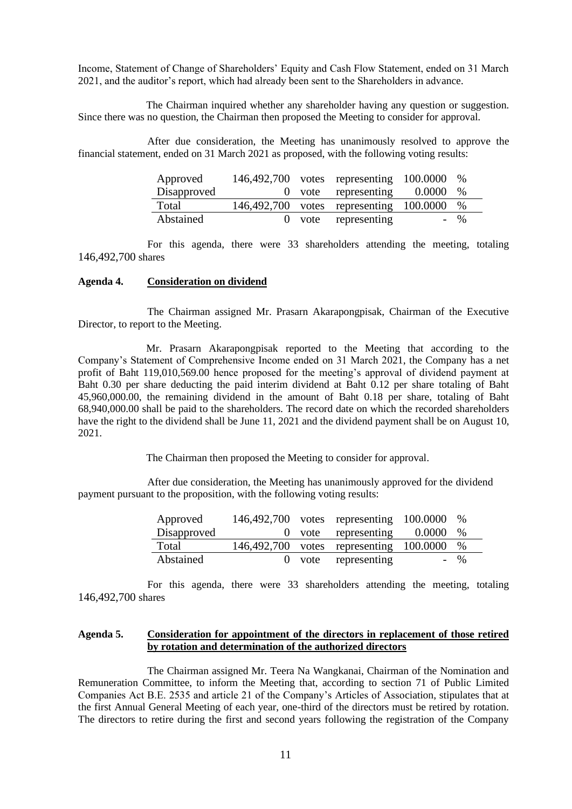Income, Statement of Change of Shareholders' Equity and Cash Flow Statement, ended on 31 March 2021, and the auditor's report, which had already been sent to the Shareholders in advance.

The Chairman inquired whether any shareholder having any question or suggestion. Since there was no question, the Chairman then proposed the Meeting to consider for approval.

After due consideration, the Meeting has unanimously resolved to approve the financial statement, ended on 31 March 2021 as proposed, with the following voting results:

| Approved    |  | 146,492,700 votes representing 100.0000 % |                 |
|-------------|--|-------------------------------------------|-----------------|
| Disapproved |  | 0 vote representing $0.0000$              | $\%$            |
| Total       |  | 146,492,700 votes representing 100.0000   | $\%$            |
| Abstained   |  | 0 vote representing                       | $- \frac{0}{6}$ |

For this agenda, there were 33 shareholders attending the meeting, totaling 146,492,700 shares

#### **Agenda 4. Consideration on dividend**

The Chairman assigned Mr. Prasarn Akarapongpisak, Chairman of the Executive Director, to report to the Meeting.

Mr. Prasarn Akarapongpisak reported to the Meeting that according to the Company's Statement of Comprehensive Income ended on 31 March 2021, the Company has a net profit of Baht 119,010,569.00 hence proposed for the meeting's approval of dividend payment at Baht 0.30 per share deducting the paid interim dividend at Baht 0.12 per share totaling of Baht 45,960,000.00, the remaining dividend in the amount of Baht 0.18 per share, totaling of Baht 68,940,000.00 shall be paid to the shareholders. The record date on which the recorded shareholders have the right to the dividend shall be June 11, 2021 and the dividend payment shall be on August 10, 2021.

The Chairman then proposed the Meeting to consider for approval.

After due consideration, the Meeting has unanimously approved for the dividend payment pursuant to the proposition, with the following voting results:

| Approved    |  | 146,492,700 votes representing 100.0000   | $\%$            |
|-------------|--|-------------------------------------------|-----------------|
| Disapproved |  | 0 vote representing $0.0000$              | $\%$            |
| Total       |  | 146,492,700 votes representing 100.0000 % |                 |
| Abstained   |  | 0 vote representing                       | $- \frac{0}{0}$ |

For this agenda, there were 33 shareholders attending the meeting, totaling 146,492,700 shares

#### **Agenda 5. Consideration for appointment of the directors in replacement of those retired by rotation and determination of the authorized directors**

The Chairman assigned Mr. Teera Na Wangkanai, Chairman of the Nomination and Remuneration Committee, to inform the Meeting that, according to section 71 of Public Limited Companies Act B.E. 2535 and article 21 of the Company's Articles of Association, stipulates that at the first Annual General Meeting of each year, one-third of the directors must be retired by rotation. The directors to retire during the first and second years following the registration of the Company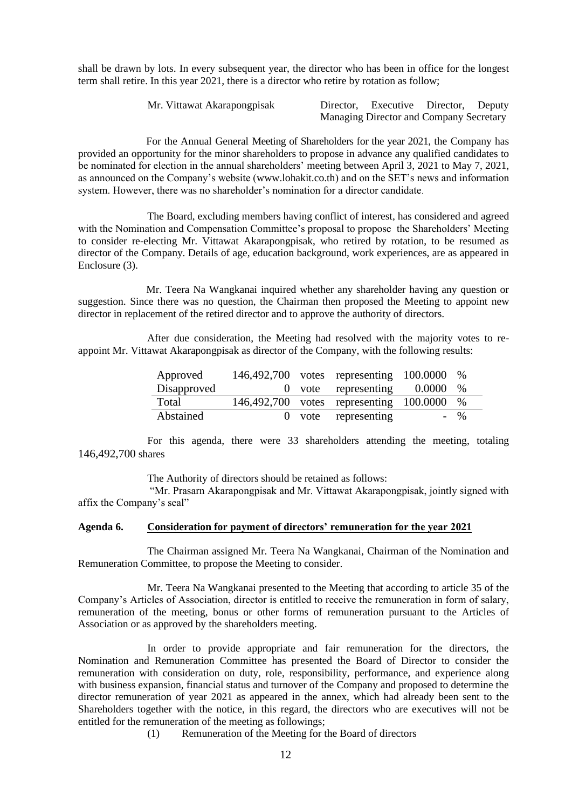shall be drawn by lots. In every subsequent year, the director who has been in office for the longest term shall retire. In this year 2021, there is a director who retire by rotation as follow;

| Mr. Vittawat Akarapongpisak | Director, Executive Director, Deputy    |  |
|-----------------------------|-----------------------------------------|--|
|                             | Managing Director and Company Secretary |  |

For the Annual General Meeting of Shareholders for the year 2021, the Company has provided an opportunity for the minor shareholders to propose in advance any qualified candidates to be nominated for election in the annual shareholders' meeting between April 3, 2021 to May 7, 2021, as announced on the Company's website (www.lohakit.co.th) and on the SET's news and information system. However, there was no shareholder's nomination for a director candidate.

The Board, excluding members having conflict of interest, has considered and agreed with the Nomination and Compensation Committee's proposal to propose the Shareholders' Meeting to consider re-electing Mr. Vittawat Akarapongpisak, who retired by rotation, to be resumed as director of the Company. Details of age, education background, work experiences, are as appeared in Enclosure (3).

Mr. Teera Na Wangkanai inquired whether any shareholder having any question or suggestion. Since there was no question, the Chairman then proposed the Meeting to appoint new director in replacement of the retired director and to approve the authority of directors.

 After due consideration, the Meeting had resolved with the majority votes to reappoint Mr. Vittawat Akarapongpisak as director of the Company, with the following results:

| Approved    |  | 146,492,700 votes representing 100.0000 % |                 |
|-------------|--|-------------------------------------------|-----------------|
| Disapproved |  | 0 vote representing $0.0000\%$            |                 |
| Total       |  | 146,492,700 votes representing 100.0000 % |                 |
| Abstained   |  | 0 vote representing                       | $- \frac{0}{6}$ |

For this agenda, there were 33 shareholders attending the meeting, totaling 146,492,700 shares

The Authority of directors should be retained as follows:

"Mr. Prasarn Akarapongpisak and Mr. Vittawat Akarapongpisak, jointly signed with affix the Company's seal"

#### **Agenda 6. Consideration for payment of directors' remuneration for the year 2021**

The Chairman assigned Mr. Teera Na Wangkanai, Chairman of the Nomination and Remuneration Committee, to propose the Meeting to consider.

Mr. Teera Na Wangkanai presented to the Meeting that according to article 35 of the Company's Articles of Association, director is entitled to receive the remuneration in form of salary, remuneration of the meeting, bonus or other forms of remuneration pursuant to the Articles of Association or as approved by the shareholders meeting.

In order to provide appropriate and fair remuneration for the directors, the Nomination and Remuneration Committee has presented the Board of Director to consider the remuneration with consideration on duty, role, responsibility, performance, and experience along with business expansion, financial status and turnover of the Company and proposed to determine the director remuneration of year 2021 as appeared in the annex, which had already been sent to the Shareholders together with the notice, in this regard, the directors who are executives will not be entitled for the remuneration of the meeting as followings;

(1) Remuneration of the Meeting for the Board of directors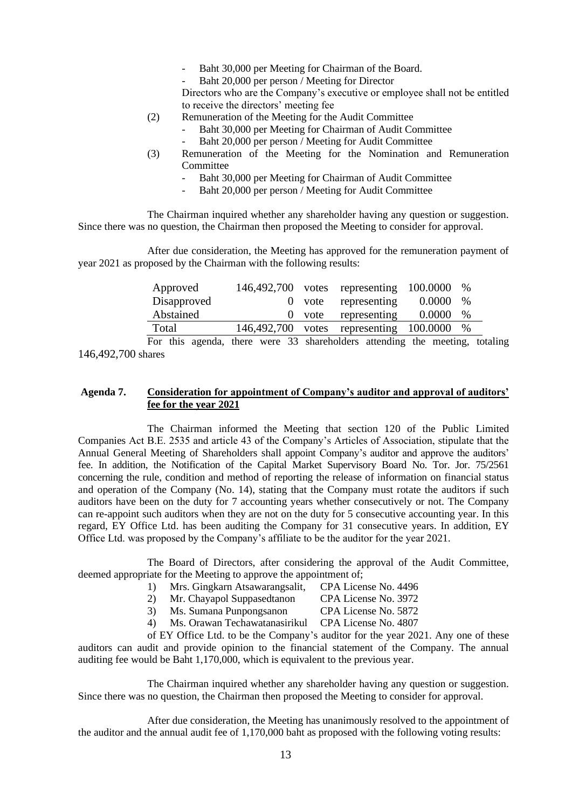- Baht 30,000 per Meeting for Chairman of the Board.
- Baht 20,000 per person / Meeting for Director

Directors who are the Company's executive or employee shall not be entitled to receive the directors' meeting fee

- (2) Remuneration of the Meeting for the Audit Committee
	- Baht 30,000 per Meeting for Chairman of Audit Committee
	- Baht 20,000 per person / Meeting for Audit Committee
- (3) Remuneration of the Meeting for the Nomination and Remuneration **Committee** 
	- Baht 30,000 per Meeting for Chairman of Audit Committee
	- Baht 20,000 per person / Meeting for Audit Committee

The Chairman inquired whether any shareholder having any question or suggestion. Since there was no question, the Chairman then proposed the Meeting to consider for approval.

After due consideration, the Meeting has approved for the remuneration payment of year 2021 as proposed by the Chairman with the following results:

| $\frac{0}{0}$                                               |
|-------------------------------------------------------------|
| $\%$                                                        |
| $\%$                                                        |
| 0.0000<br>0.0000<br>146,492,700 votes representing 100.0000 |

For this agenda, there were 33 shareholders attending the meeting, totaling 146,492,700 shares

## **Agenda 7. Consideration for appointment of Company's auditor and approval of auditors' fee for the year 2021**

The Chairman informed the Meeting that section 120 of the Public Limited Companies Act B.E. 2535 and article 43 of the Company's Articles of Association, stipulate that the Annual General Meeting of Shareholders shall appoint Company's auditor and approve the auditors' fee. In addition, the Notification of the Capital Market Supervisory Board No. Tor. Jor. 75/2561 concerning the rule, condition and method of reporting the release of information on financial status and operation of the Company (No. 14), stating that the Company must rotate the auditors if such auditors have been on the duty for 7 accounting years whether consecutively or not. The Company can re-appoint such auditors when they are not on the duty for 5 consecutive accounting year. In this regard, EY Office Ltd. has been auditing the Company for 31 consecutive years. In addition, EY Office Ltd. was proposed by the Company's affiliate to be the auditor for the year 2021.

The Board of Directors, after considering the approval of the Audit Committee, deemed appropriate for the Meeting to approve the appointment of:

- 1) Mrs. Gingkarn Atsawarangsalit, CPA License No. 4496
	- 2) Mr. Chayapol Suppasedtanon CPA License No. 3972
- 3) Ms. Sumana Punpongsanon CPA License No. 5872
- 4) Ms. Orawan Techawatanasirikul CPA License No. 4807

of EY Office Ltd. to be the Company's auditor for the year 2021. Any one of these auditors can audit and provide opinion to the financial statement of the Company. The annual auditing fee would be Baht 1,170,000, which is equivalent to the previous year.

The Chairman inquired whether any shareholder having any question or suggestion. Since there was no question, the Chairman then proposed the Meeting to consider for approval.

After due consideration, the Meeting has unanimously resolved to the appointment of the auditor and the annual audit fee of 1,170,000 baht as proposed with the following voting results: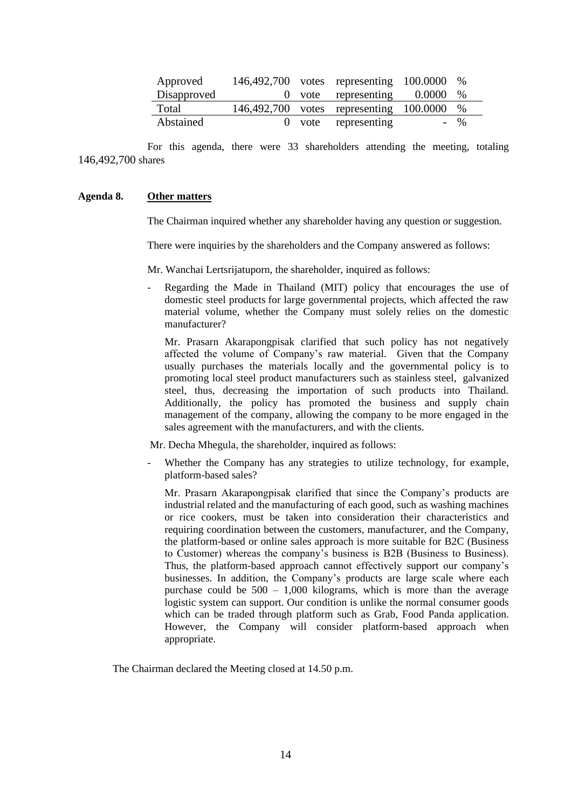| Approved    |  | 146,492,700 votes representing 100.0000 % |       |
|-------------|--|-------------------------------------------|-------|
| Disapproved |  | 0 vote representing $0.0000$              | %     |
| Total       |  | 146,492,700 votes representing 100.0000 % |       |
| Abstained   |  | 0 vote representing                       | $-$ % |

For this agenda, there were 33 shareholders attending the meeting, totaling 146,492,700 shares

#### **Agenda 8. Other matters**

The Chairman inquired whether any shareholder having any question or suggestion.

There were inquiries by the shareholders and the Company answered as follows:

Mr. Wanchai Lertsrijatuporn, the shareholder, inquired as follows:

Regarding the Made in Thailand (MIT) policy that encourages the use of domestic steel products for large governmental projects, which affected the raw material volume, whether the Company must solely relies on the domestic manufacturer?

Mr. Prasarn Akarapongpisak clarified that such policy has not negatively affected the volume of Company's raw material. Given that the Company usually purchases the materials locally and the governmental policy is to promoting local steel product manufacturers such as stainless steel, galvanized steel, thus, decreasing the importation of such products into Thailand. Additionally, the policy has promoted the business and supply chain management of the company, allowing the company to be more engaged in the sales agreement with the manufacturers, and with the clients.

Mr. Decha Mhegula, the shareholder, inquired as follows:

Whether the Company has any strategies to utilize technology, for example, platform-based sales?

Mr. Prasarn Akarapongpisak clarified that since the Company's products are industrial related and the manufacturing of each good, such as washing machines or rice cookers, must be taken into consideration their characteristics and requiring coordination between the customers, manufacturer, and the Company, the platform-based or online sales approach is more suitable for B2C (Business to Customer) whereas the company's business is B2B (Business to Business). Thus, the platform-based approach cannot effectively support our company's businesses. In addition, the Company's products are large scale where each purchase could be  $500 - 1,000$  kilograms, which is more than the average logistic system can support. Our condition is unlike the normal consumer goods which can be traded through platform such as Grab, Food Panda application. However, the Company will consider platform-based approach when appropriate.

The Chairman declared the Meeting closed at 14.50 p.m.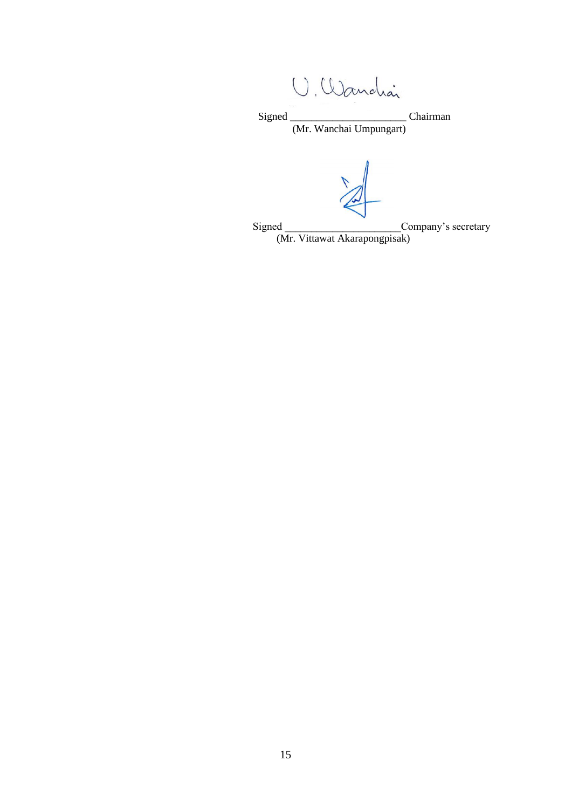U. Wandrai

 Signed \_\_\_\_\_\_\_\_\_\_\_\_\_\_\_\_\_\_\_\_\_\_ Chairman (Mr. Wanchai Umpungart)

Signed \_\_\_\_\_\_\_\_\_\_\_\_\_\_\_\_\_\_\_\_\_\_Company's secretary

(Mr. Vittawat Akarapongpisak)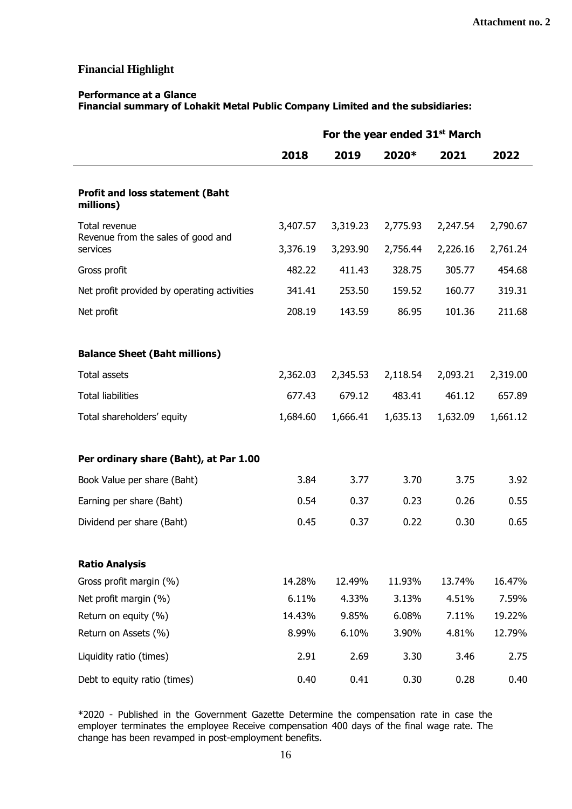# **Financial Highlight**

#### **Performance at a Glance**

**Financial summary of Lohakit Metal Public Company Limited and the subsidiaries:**

|                                                     | For the year ended 31 <sup>st</sup> March |          |          |          |          |
|-----------------------------------------------------|-------------------------------------------|----------|----------|----------|----------|
|                                                     | 2018                                      | 2019     | 2020*    | 2021     | 2022     |
| <b>Profit and loss statement (Baht</b><br>millions) |                                           |          |          |          |          |
| Total revenue                                       | 3,407.57                                  | 3,319.23 | 2,775.93 | 2,247.54 | 2,790.67 |
| Revenue from the sales of good and<br>services      | 3,376.19                                  | 3,293.90 | 2,756.44 | 2,226.16 | 2,761.24 |
| Gross profit                                        | 482.22                                    | 411.43   | 328.75   | 305.77   | 454.68   |
| Net profit provided by operating activities         | 341.41                                    | 253.50   | 159.52   | 160.77   | 319.31   |
| Net profit                                          | 208.19                                    | 143.59   | 86.95    | 101.36   | 211.68   |
|                                                     |                                           |          |          |          |          |
| <b>Balance Sheet (Baht millions)</b>                |                                           |          |          |          |          |
| Total assets                                        | 2,362.03                                  | 2,345.53 | 2,118.54 | 2,093.21 | 2,319.00 |
| <b>Total liabilities</b>                            | 677.43                                    | 679.12   | 483.41   | 461.12   | 657.89   |
| Total shareholders' equity                          | 1,684.60                                  | 1,666.41 | 1,635.13 | 1,632.09 | 1,661.12 |
|                                                     |                                           |          |          |          |          |
| Per ordinary share (Baht), at Par 1.00              |                                           |          |          |          |          |
| Book Value per share (Baht)                         | 3.84                                      | 3.77     | 3.70     | 3.75     | 3.92     |
| Earning per share (Baht)                            | 0.54                                      | 0.37     | 0.23     | 0.26     | 0.55     |
| Dividend per share (Baht)                           | 0.45                                      | 0.37     | 0.22     | 0.30     | 0.65     |
|                                                     |                                           |          |          |          |          |
| <b>Ratio Analysis</b>                               |                                           |          |          |          |          |
| Gross profit margin (%)                             | 14.28%                                    | 12.49%   | 11.93%   | 13.74%   | 16.47%   |
| Net profit margin (%)                               | 6.11%                                     | 4.33%    | 3.13%    | 4.51%    | 7.59%    |
| Return on equity (%)                                | 14.43%                                    | 9.85%    | 6.08%    | 7.11%    | 19.22%   |
| Return on Assets (%)                                | 8.99%                                     | 6.10%    | 3.90%    | 4.81%    | 12.79%   |
| Liquidity ratio (times)                             | 2.91                                      | 2.69     | 3.30     | 3.46     | 2.75     |
| Debt to equity ratio (times)                        | 0.40                                      | 0.41     | 0.30     | 0.28     | 0.40     |

\*2020 - Published in the Government Gazette Determine the compensation rate in case the employer terminates the employee Receive compensation 400 days of the final wage rate. The change has been revamped in post-employment benefits.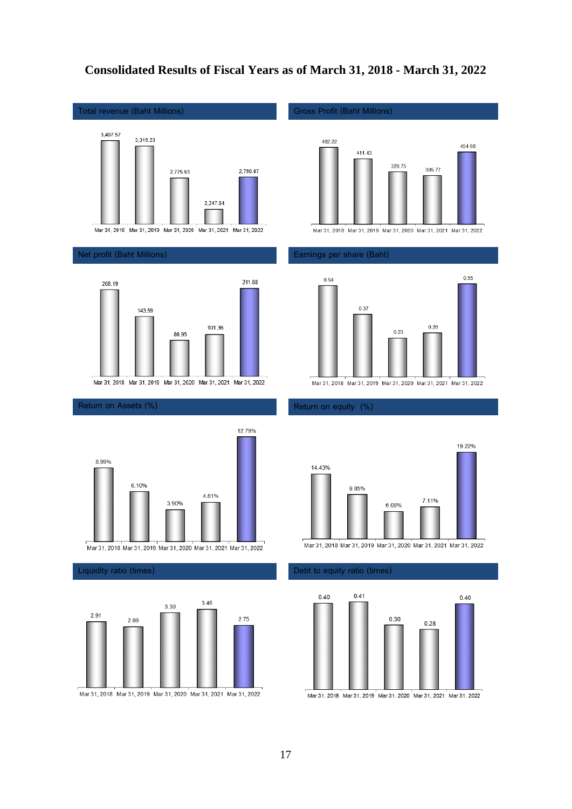# **Consolidated Results of Fiscal Years as of March 31, 2018 - March 31, 2022**

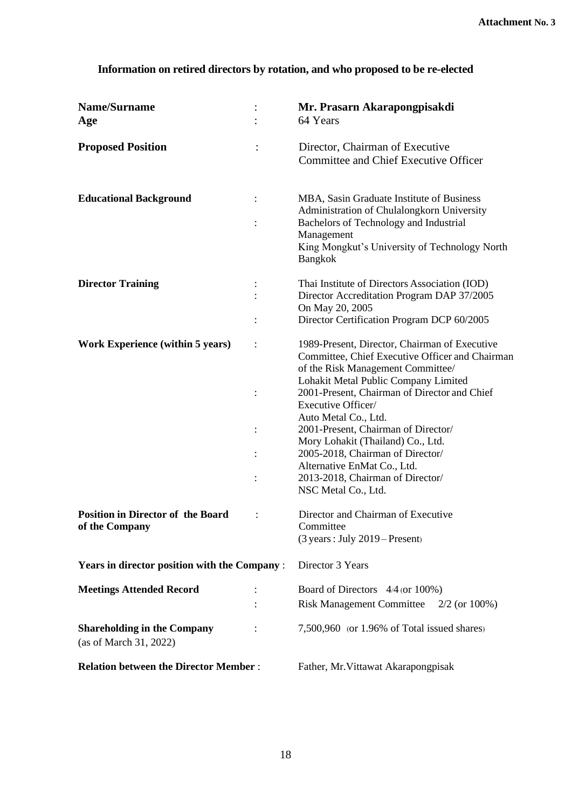# **Information on retired directors by rotation, and who proposed to be re-elected**

| Name/Surname<br>Age                                          |                            | Mr. Prasarn Akarapongpisakdi<br>64 Years                                                                                                                                                                                                                                                                                                                                                                                                                                              |
|--------------------------------------------------------------|----------------------------|---------------------------------------------------------------------------------------------------------------------------------------------------------------------------------------------------------------------------------------------------------------------------------------------------------------------------------------------------------------------------------------------------------------------------------------------------------------------------------------|
| <b>Proposed Position</b>                                     |                            | Director, Chairman of Executive<br>Committee and Chief Executive Officer                                                                                                                                                                                                                                                                                                                                                                                                              |
| <b>Educational Background</b>                                | $\vdots$<br>$\ddot{\cdot}$ | MBA, Sasin Graduate Institute of Business<br>Administration of Chulalongkorn University<br>Bachelors of Technology and Industrial<br>Management<br>King Mongkut's University of Technology North<br>Bangkok                                                                                                                                                                                                                                                                           |
| <b>Director Training</b>                                     |                            | Thai Institute of Directors Association (IOD)<br>Director Accreditation Program DAP 37/2005<br>On May 20, 2005<br>Director Certification Program DCP 60/2005                                                                                                                                                                                                                                                                                                                          |
| <b>Work Experience (within 5 years)</b>                      | $\vdots$<br>$\ddot{\cdot}$ | 1989-Present, Director, Chairman of Executive<br>Committee, Chief Executive Officer and Chairman<br>of the Risk Management Committee/<br>Lohakit Metal Public Company Limited<br>2001-Present, Chairman of Director and Chief<br>Executive Officer/<br>Auto Metal Co., Ltd.<br>2001-Present, Chairman of Director/<br>Mory Lohakit (Thailand) Co., Ltd.<br>2005-2018, Chairman of Director/<br>Alternative EnMat Co., Ltd.<br>2013-2018, Chairman of Director/<br>NSC Metal Co., Ltd. |
| <b>Position in Director of the Board</b><br>of the Company   |                            | Director and Chairman of Executive<br>Committee<br>$(3 \text{ years}:$ July $2019$ – Present)                                                                                                                                                                                                                                                                                                                                                                                         |
| <b>Years in director position with the Company:</b>          |                            | Director 3 Years                                                                                                                                                                                                                                                                                                                                                                                                                                                                      |
| <b>Meetings Attended Record</b>                              |                            | Board of Directors 4/4 (or 100%)<br><b>Risk Management Committee</b><br>$2/2$ (or $100\%$ )                                                                                                                                                                                                                                                                                                                                                                                           |
| <b>Shareholding in the Company</b><br>(as of March 31, 2022) |                            | 7,500,960 (or 1.96% of Total issued shares)                                                                                                                                                                                                                                                                                                                                                                                                                                           |
| <b>Relation between the Director Member:</b>                 |                            | Father, Mr. Vittawat Akarapongpisak                                                                                                                                                                                                                                                                                                                                                                                                                                                   |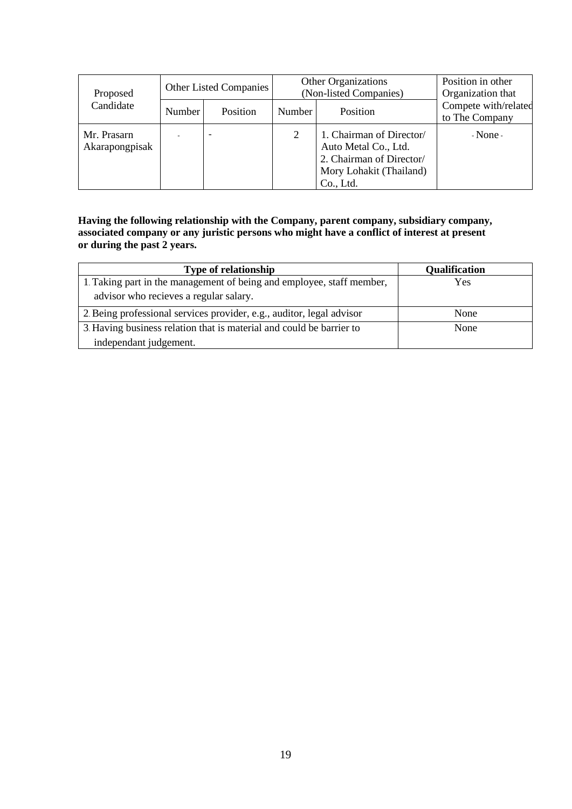| Proposed                      | <b>Other Listed Companies</b> |          |        | <b>Other Organizations</b><br>(Non-listed Companies)                                                                 | Position in other<br>Organization that |
|-------------------------------|-------------------------------|----------|--------|----------------------------------------------------------------------------------------------------------------------|----------------------------------------|
| Candidate                     | Number                        | Position | Number | <b>Position</b>                                                                                                      | Compete with/related<br>to The Company |
| Mr. Prasarn<br>Akarapongpisak |                               |          | 2      | 1. Chairman of Director/<br>Auto Metal Co., Ltd.<br>2. Chairman of Director/<br>Mory Lohakit (Thailand)<br>Co., Ltd. | $-None-$                               |

## **Having the following relationship with the Company, parent company, subsidiary company, associated company or any juristic persons who might have a conflict of interest at present or during the past 2 years.**

| <b>Type of relationship</b>                                           | <b>Qualification</b> |
|-----------------------------------------------------------------------|----------------------|
| 1. Taking part in the management of being and employee, staff member, | Yes                  |
| advisor who recieves a regular salary.                                |                      |
| 2. Being professional services provider, e.g., auditor, legal advisor | None                 |
| 3. Having business relation that is material and could be barrier to  | None                 |
| independant judgement.                                                |                      |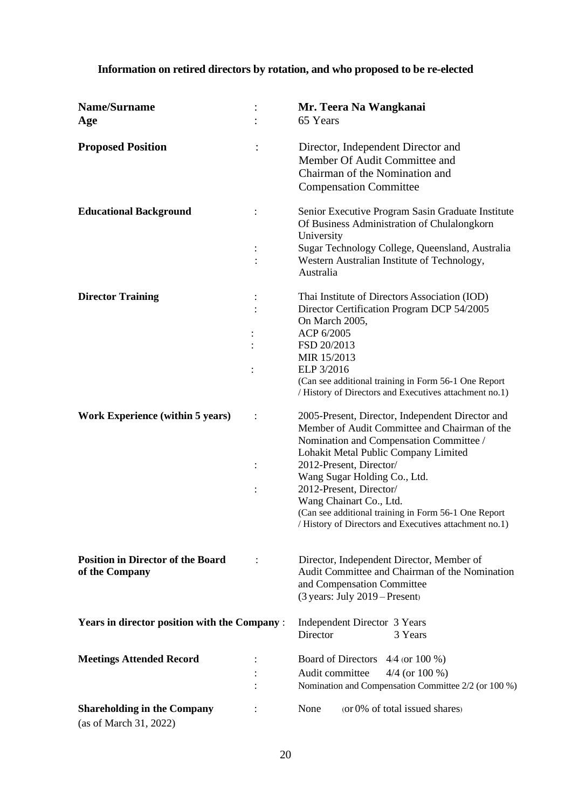# **Information on retired directors by rotation, and who proposed to be re-elected**

| <b>Name/Surname</b><br>Age                                   | Mr. Teera Na Wangkanai<br>65 Years                                                                                                                                                   |
|--------------------------------------------------------------|--------------------------------------------------------------------------------------------------------------------------------------------------------------------------------------|
| <b>Proposed Position</b>                                     | Director, Independent Director and<br>Member Of Audit Committee and<br>Chairman of the Nomination and<br><b>Compensation Committee</b>                                               |
| <b>Educational Background</b>                                | Senior Executive Program Sasin Graduate Institute<br>Of Business Administration of Chulalongkorn<br>University                                                                       |
|                                                              | Sugar Technology College, Queensland, Australia<br>Western Australian Institute of Technology,<br>Australia                                                                          |
| <b>Director Training</b>                                     | Thai Institute of Directors Association (IOD)<br>Director Certification Program DCP 54/2005<br>On March 2005,<br>ACP 6/2005<br>FSD 20/2013<br>MIR 15/2013                            |
|                                                              | ELP 3/2016<br>(Can see additional training in Form 56-1 One Report<br>/ History of Directors and Executives attachment no.1)                                                         |
| <b>Work Experience (within 5 years)</b>                      | 2005-Present, Director, Independent Director and<br>Member of Audit Committee and Chairman of the<br>Nomination and Compensation Committee /<br>Lohakit Metal Public Company Limited |
|                                                              | 2012-Present, Director/<br>Wang Sugar Holding Co., Ltd.                                                                                                                              |
|                                                              | 2012-Present, Director/<br>Wang Chainart Co., Ltd.<br>(Can see additional training in Form 56-1 One Report<br>/ History of Directors and Executives attachment no.1)                 |
| <b>Position in Director of the Board</b><br>of the Company   | Director, Independent Director, Member of<br>Audit Committee and Chairman of the Nomination<br>and Compensation Committee<br>(3 years: July 2019 – Present)                          |
| <b>Years in director position with the Company:</b>          | Independent Director 3 Years<br>Director<br>3 Years                                                                                                                                  |
| <b>Meetings Attended Record</b>                              | Board of Directors 4/4 (or 100 %)<br>Audit committee<br>$4/4$ (or 100 %)<br>Nomination and Compensation Committee 2/2 (or 100 %)                                                     |
| <b>Shareholding in the Company</b><br>(as of March 31, 2022) | (or 0% of total issued shares)<br>None                                                                                                                                               |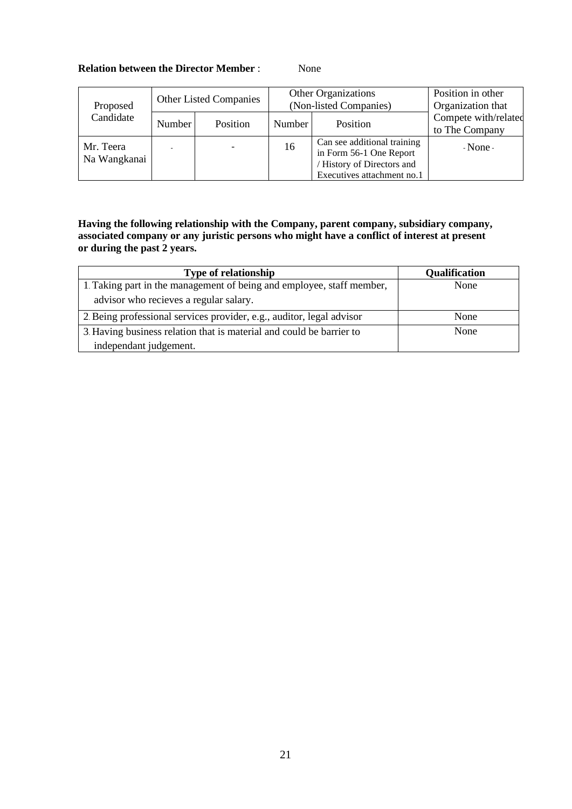# **Relation between the Director Member** : None

| Proposed                  |        | <b>Other Listed Companies</b> | <b>Other Organizations</b><br>(Non-listed Companies) |                                                                                                                    | Position in other<br>Organization that |
|---------------------------|--------|-------------------------------|------------------------------------------------------|--------------------------------------------------------------------------------------------------------------------|----------------------------------------|
| Candidate                 | Number | Position                      | Number                                               | Position                                                                                                           | Compete with/related<br>to The Company |
| Mr. Teera<br>Na Wangkanai |        |                               | 16                                                   | Can see additional training<br>in Form 56-1 One Report<br>/ History of Directors and<br>Executives attachment no.1 | $-None-$                               |

**Having the following relationship with the Company, parent company, subsidiary company, associated company or any juristic persons who might have a conflict of interest at present or during the past 2 years.**

| <b>Type of relationship</b>                                           | Qualification |
|-----------------------------------------------------------------------|---------------|
| 1. Taking part in the management of being and employee, staff member, | None          |
| advisor who recieves a regular salary.                                |               |
| 2. Being professional services provider, e.g., auditor, legal advisor | None          |
| 3. Having business relation that is material and could be barrier to  | None          |
| independant judgement.                                                |               |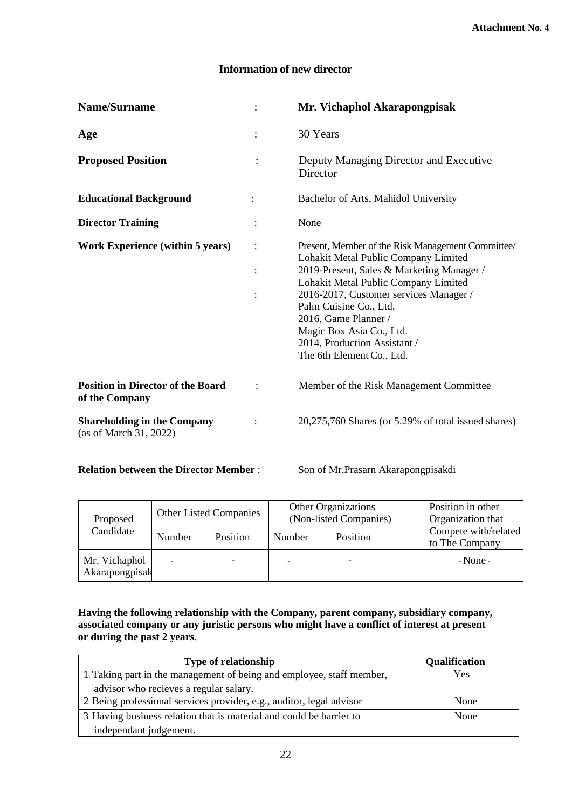# **Information of new director**

| Name/Surname                                                 |                      | Mr. Vichaphol Akarapongpisak                                                                                                                                                                                                                                                                                                                                        |
|--------------------------------------------------------------|----------------------|---------------------------------------------------------------------------------------------------------------------------------------------------------------------------------------------------------------------------------------------------------------------------------------------------------------------------------------------------------------------|
| Age                                                          | $\ddot{\phantom{a}}$ | 30 Years                                                                                                                                                                                                                                                                                                                                                            |
| <b>Proposed Position</b>                                     | :                    | Deputy Managing Director and Executive<br>Director                                                                                                                                                                                                                                                                                                                  |
| <b>Educational Background</b>                                |                      | Bachelor of Arts, Mahidol University                                                                                                                                                                                                                                                                                                                                |
| <b>Director Training</b>                                     |                      | None                                                                                                                                                                                                                                                                                                                                                                |
| <b>Work Experience (within 5 years)</b>                      |                      | Present, Member of the Risk Management Committee/<br>Lohakit Metal Public Company Limited<br>2019-Present, Sales & Marketing Manager /<br>Lohakit Metal Public Company Limited<br>2016-2017, Customer services Manager /<br>Palm Cuisine Co., Ltd.<br>2016, Game Planner /<br>Magic Box Asia Co., Ltd.<br>2014, Production Assistant /<br>The 6th Element Co., Ltd. |
| <b>Position in Director of the Board</b><br>of the Company   |                      | Member of the Risk Management Committee                                                                                                                                                                                                                                                                                                                             |
| <b>Shareholding in the Company</b><br>(as of March 31, 2022) |                      | $20,275,760$ Shares (or 5.29% of total issued shares)                                                                                                                                                                                                                                                                                                               |

# **Relation between the Director Member :** Son of Mr.Prasarn Akarapongpisakdi

| Proposed                        | <b>Other Listed Companies</b> |          | <b>Other Organizations</b><br>(Non-listed Companies) |          | Position in other<br>Organization that |
|---------------------------------|-------------------------------|----------|------------------------------------------------------|----------|----------------------------------------|
| Candidate                       | Number                        | Position | Number                                               | Position | Compete with/related<br>to The Company |
| Mr. Vichaphol<br>Akarapongpisak |                               |          |                                                      |          | $-None-$                               |

**Having the following relationship with the Company, parent company, subsidiary company, associated company or any juristic persons who might have a conflict of interest at present or during the past 2 years.**

| <b>Type of relationship</b>                                           | <b>Qualification</b> |
|-----------------------------------------------------------------------|----------------------|
| 1. Taking part in the management of being and employee, staff member, | Yes                  |
| advisor who recieves a regular salary.                                |                      |
| 2. Being professional services provider, e.g., auditor, legal advisor | None                 |
| 3. Having business relation that is material and could be barrier to  | None                 |
| independant judgement.                                                |                      |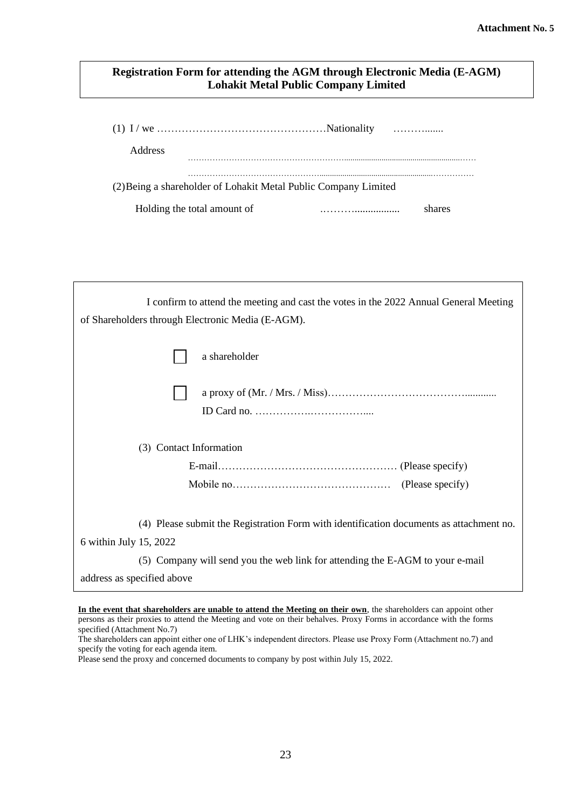# **Registration Form for attending the AGM through Electronic Media (E-AGM) Lohakit Metal Public Company Limited**

| <b>Address</b>                                                  |        |
|-----------------------------------------------------------------|--------|
|                                                                 |        |
| (2) Being a shareholder of Lohakit Metal Public Company Limited |        |
| Holding the total amount of                                     | shares |

| I confirm to attend the meeting and cast the votes in the 2022 Annual General Meeting<br>of Shareholders through Electronic Media (E-AGM). |
|--------------------------------------------------------------------------------------------------------------------------------------------|
| a shareholder                                                                                                                              |
|                                                                                                                                            |
| (3) Contact Information                                                                                                                    |
|                                                                                                                                            |
|                                                                                                                                            |
| (4) Please submit the Registration Form with identification documents as attachment no.<br>6 within July 15, 2022                          |
| (5) Company will send you the web link for attending the E-AGM to your e-mail                                                              |
| address as specified above                                                                                                                 |

**In the event that shareholders are unable to attend the Meeting on their own**, the shareholders can appoint other In the event that shareholders are thable to attend the Meeting on their own, the shareholders can appoint other<br>persons as their proxies to attend the Meeting and vote on their behalves. Proxy Forms in accordance with the specified (Attachment No.7)

(6) Please prepare shareholder no. and ID card no. for attending the 2021 Annual General

The shareholders can appoint either one of LHK's independent directors. Please use Proxy Form (Attachment no.7) and specify the voting for each agenda item.

Please send the proxy and concerned documents to company by post within July 15, 2022.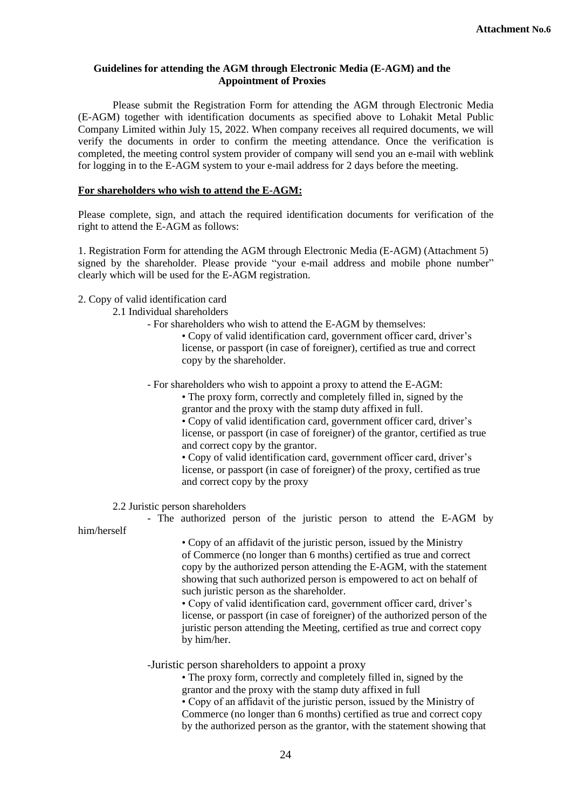#### **Guidelines for attending the AGM through Electronic Media (E-AGM) and the Appointment of Proxies**

Please submit the Registration Form for attending the AGM through Electronic Media (E-AGM) together with identification documents as specified above to Lohakit Metal Public Company Limited within July 15, 2022. When company receives all required documents, we will verify the documents in order to confirm the meeting attendance. Once the verification is completed, the meeting control system provider of company will send you an e-mail with weblink for logging in to the E-AGM system to your e-mail address for 2 days before the meeting.

## **For shareholders who wish to attend the E-AGM:**

Please complete, sign, and attach the required identification documents for verification of the right to attend the E-AGM as follows:

1. Registration Form for attending the AGM through Electronic Media (E-AGM) (Attachment 5) signed by the shareholder. Please provide "your e-mail address and mobile phone number" clearly which will be used for the E-AGM registration.

2. Copy of valid identification card

## 2.1 Individual shareholders

- For shareholders who wish to attend the E-AGM by themselves:

• Copy of valid identification card, government officer card, driver's license, or passport (in case of foreigner), certified as true and correct copy by the shareholder.

- For shareholders who wish to appoint a proxy to attend the E-AGM:

• The proxy form, correctly and completely filled in, signed by the grantor and the proxy with the stamp duty affixed in full. • Copy of valid identification card, government officer card, driver's

license, or passport (in case of foreigner) of the grantor, certified as true and correct copy by the grantor.

• Copy of valid identification card, government officer card, driver's license, or passport (in case of foreigner) of the proxy, certified as true and correct copy by the proxy

2.2 Juristic person shareholders

- The authorized person of the juristic person to attend the E-AGM by him/herself

• Copy of an affidavit of the juristic person, issued by the Ministry of Commerce (no longer than 6 months) certified as true and correct copy by the authorized person attending the E-AGM, with the statement showing that such authorized person is empowered to act on behalf of such juristic person as the shareholder.

• Copy of valid identification card, government officer card, driver's license, or passport (in case of foreigner) of the authorized person of the juristic person attending the Meeting, certified as true and correct copy by him/her.

#### -Juristic person shareholders to appoint a proxy

• The proxy form, correctly and completely filled in, signed by the grantor and the proxy with the stamp duty affixed in full

• Copy of an affidavit of the juristic person, issued by the Ministry of Commerce (no longer than 6 months) certified as true and correct copy by the authorized person as the grantor, with the statement showing that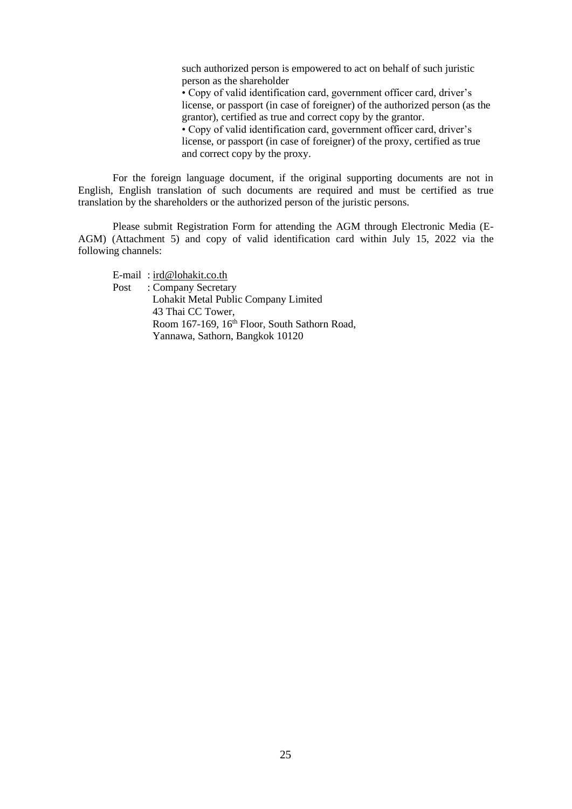such authorized person is empowered to act on behalf of such juristic person as the shareholder

• Copy of valid identification card, government officer card, driver's license, or passport (in case of foreigner) of the authorized person (as the grantor), certified as true and correct copy by the grantor.

• Copy of valid identification card, government officer card, driver's license, or passport (in case of foreigner) of the proxy, certified as true and correct copy by the proxy.

For the foreign language document, if the original supporting documents are not in English, English translation of such documents are required and must be certified as true translation by the shareholders or the authorized person of the juristic persons.

Please submit Registration Form for attending the AGM through Electronic Media (E-AGM) (Attachment 5) and copy of valid identification card within July 15, 2022 via the following channels:

E-mail : [ird@lohakit.co.th](mailto:ird@lohakit.co.th)

Post : Company Secretary Lohakit Metal Public Company Limited 43 Thai CC Tower, Room 167-169, 16<sup>th</sup> Floor, South Sathorn Road, Yannawa, Sathorn, Bangkok 10120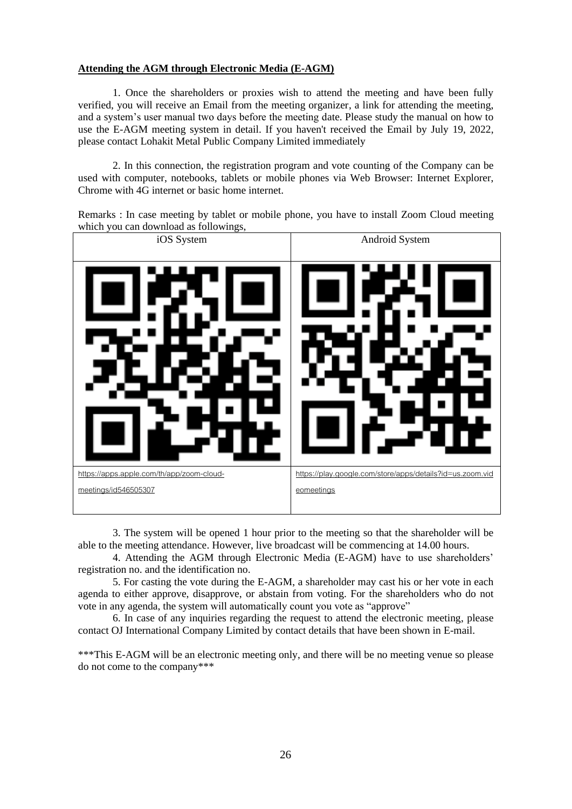# **Attending the AGM through Electronic Media (E-AGM)**

1. Once the shareholders or proxies wish to attend the meeting and have been fully verified, you will receive an Email from the meeting organizer, a link for attending the meeting, and a system's user manual two days before the meeting date. Please study the manual on how to use the E-AGM meeting system in detail. If you haven't received the Email by July 19, 2022, please contact Lohakit Metal Public Company Limited immediately

2. In this connection, the registration program and vote counting of the Company can be used with computer, notebooks, tablets or mobile phones via Web Browser: Internet Explorer, Chrome with 4G internet or basic home internet.





3. The system will be opened 1 hour prior to the meeting so that the shareholder will be able to the meeting attendance. However, live broadcast will be commencing at 14.00 hours.

4. Attending the AGM through Electronic Media (E-AGM) have to use shareholders' registration no. and the identification no.

5. For casting the vote during the E-AGM, a shareholder may cast his or her vote in each agenda to either approve, disapprove, or abstain from voting. For the shareholders who do not vote in any agenda, the system will automatically count you vote as "approve"

6. In case of any inquiries regarding the request to attend the electronic meeting, please contact OJ International Company Limited by contact details that have been shown in E-mail.

\*\*\*This E-AGM will be an electronic meeting only, and there will be no meeting venue so please do not come to the company\*\*\*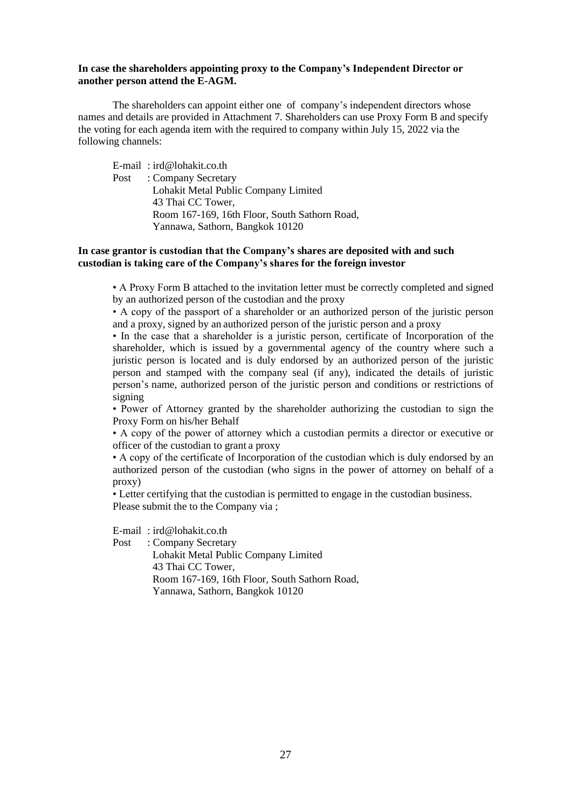#### **In case the shareholders appointing proxy to the Company's Independent Director or another person attend the E-AGM.**

The shareholders can appoint either one of company's independent directors whose names and details are provided in Attachment 7. Shareholders can use Proxy Form B and specify the voting for each agenda item with the required to company within July 15, 2022 via the following channels:

E-mail : ird@lohakit.co.th Post : Company Secretary Lohakit Metal Public Company Limited 43 Thai CC Tower, Room 167-169, 16th Floor, South Sathorn Road, Yannawa, Sathorn, Bangkok 10120

## **In case grantor is custodian that the Company's shares are deposited with and such custodian is taking care of the Company's shares for the foreign investor**

• A Proxy Form B attached to the invitation letter must be correctly completed and signed by an authorized person of the custodian and the proxy

• A copy of the passport of a shareholder or an authorized person of the juristic person and a proxy, signed by an authorized person of the juristic person and a proxy

• In the case that a shareholder is a juristic person, certificate of Incorporation of the shareholder, which is issued by a governmental agency of the country where such a juristic person is located and is duly endorsed by an authorized person of the juristic person and stamped with the company seal (if any), indicated the details of juristic person's name, authorized person of the juristic person and conditions or restrictions of signing

• Power of Attorney granted by the shareholder authorizing the custodian to sign the Proxy Form on his/her Behalf

• A copy of the power of attorney which a custodian permits a director or executive or officer of the custodian to grant a proxy

• A copy of the certificate of Incorporation of the custodian which is duly endorsed by an authorized person of the custodian (who signs in the power of attorney on behalf of a proxy)

• Letter certifying that the custodian is permitted to engage in the custodian business. Please submit the to the Company via ;

E-mail : ird@lohakit.co.th

Post : Company Secretary

 Lohakit Metal Public Company Limited 43 Thai CC Tower, Room 167-169, 16th Floor, South Sathorn Road, Yannawa, Sathorn, Bangkok 10120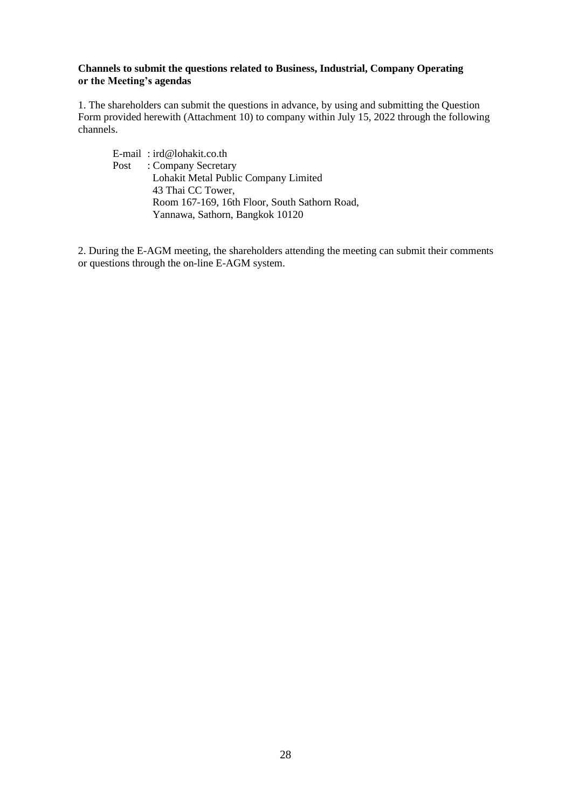## **Channels to submit the questions related to Business, Industrial, Company Operating or the Meeting's agendas**

1. The shareholders can submit the questions in advance, by using and submitting the Question Form provided herewith (Attachment 10) to company within July 15, 2022 through the following channels.

E-mail : ird@lohakit.co.th Post : Company Secretary Lohakit Metal Public Company Limited 43 Thai CC Tower, Room 167-169, 16th Floor, South Sathorn Road, Yannawa, Sathorn, Bangkok 10120

2. During the E-AGM meeting, the shareholders attending the meeting can submit their comments or questions through the on-line E-AGM system.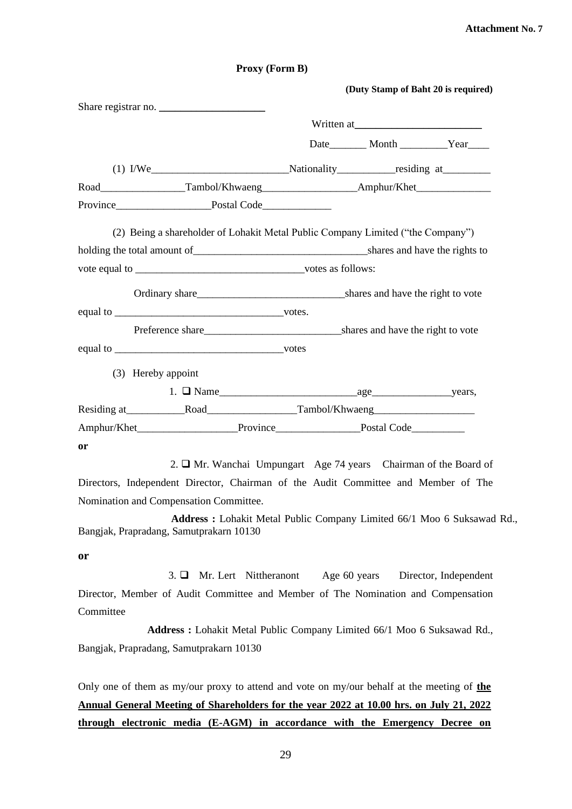|                                         | (Duty Stamp of Baht 20 is required)                                                                 |
|-----------------------------------------|-----------------------------------------------------------------------------------------------------|
| Share registrar no.                     |                                                                                                     |
|                                         | Written at                                                                                          |
|                                         | Date Month Year                                                                                     |
|                                         | (1) I/We Nationality residing at                                                                    |
|                                         | Road___________________Tambol/Khwaeng__________________________Amphur/Khet_________________________ |
|                                         |                                                                                                     |
|                                         | (2) Being a shareholder of Lohakit Metal Public Company Limited ("the Company")                     |
|                                         |                                                                                                     |
|                                         |                                                                                                     |
|                                         |                                                                                                     |
|                                         |                                                                                                     |
|                                         |                                                                                                     |
| equal to votes                          |                                                                                                     |
| (3) Hereby appoint                      |                                                                                                     |
|                                         |                                                                                                     |
|                                         |                                                                                                     |
|                                         |                                                                                                     |
| or                                      |                                                                                                     |
|                                         | 2. □ Mr. Wanchai Umpungart Age 74 years Chairman of the Board of                                    |
|                                         | Directors, Independent Director, Chairman of the Audit Committee and Member of The                  |
| Nomination and Compensation Committee.  |                                                                                                     |
| Bangjak, Prapradang, Samutprakarn 10130 | Address: Lohakit Metal Public Company Limited 66/1 Moo 6 Suksawad Rd.,                              |
| or                                      |                                                                                                     |
| Mr. Lert Nittheranont<br>$3. \Box$      | Age 60 years<br>Director, Independent                                                               |
|                                         | Director, Member of Audit Committee and Member of The Nomination and Compensation                   |
| Committee                               |                                                                                                     |
|                                         | Address: Lohakit Metal Public Company Limited 66/1 Moo 6 Suksawad Rd.,                              |
| Bangjak, Prapradang, Samutprakarn 10130 |                                                                                                     |
|                                         |                                                                                                     |

**Proxy (Form B)**

Only one of them as my/our proxy to attend and vote on my/our behalf at the meeting of **the Annual General Meeting of Shareholders for the year 2022 at 10.00 hrs. on July 21, 2022 through electronic media (E-AGM) in accordance with the Emergency Decree on** 

## 29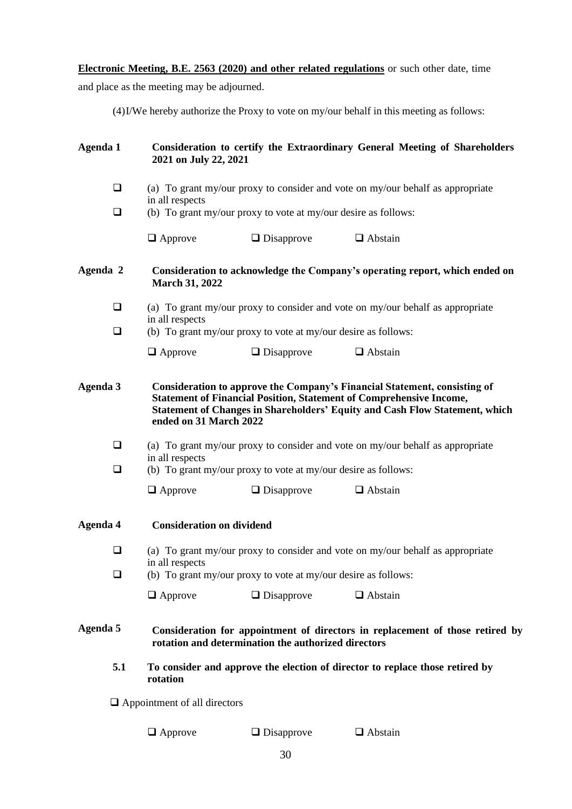**Electronic Meeting, B.E. 2563 (2020) and other related regulations** or such other date, time

and place as the meeting may be adjourned.

(4)I/We hereby authorize the Proxy to vote on my/our behalf in this meeting as follows:

| Agenda 1 | 2021 on July 22, 2021               |                                                                | <b>Consideration to certify the Extraordinary General Meeting of Shareholders</b>                                                                                                                                                             |
|----------|-------------------------------------|----------------------------------------------------------------|-----------------------------------------------------------------------------------------------------------------------------------------------------------------------------------------------------------------------------------------------|
| $\Box$   |                                     |                                                                | (a) To grant my/our proxy to consider and vote on my/our behalf as appropriate                                                                                                                                                                |
| $\Box$   | in all respects                     | (b) To grant my/our proxy to vote at my/our desire as follows: |                                                                                                                                                                                                                                               |
|          | $\Box$ Approve                      | $\Box$ Disapprove                                              | $\Box$ Abstain                                                                                                                                                                                                                                |
| Agenda 2 | <b>March 31, 2022</b>               |                                                                | Consideration to acknowledge the Company's operating report, which ended on                                                                                                                                                                   |
| $\Box$   |                                     |                                                                | (a) To grant my/our proxy to consider and vote on my/our behalf as appropriate                                                                                                                                                                |
| $\Box$   | in all respects                     | (b) To grant my/our proxy to vote at my/our desire as follows: |                                                                                                                                                                                                                                               |
|          | $\Box$ Approve                      | $\Box$ Disapprove                                              | $\Box$ Abstain                                                                                                                                                                                                                                |
| Agenda 3 | ended on 31 March 2022              |                                                                | Consideration to approve the Company's Financial Statement, consisting of<br><b>Statement of Financial Position, Statement of Comprehensive Income,</b><br><b>Statement of Changes in Shareholders' Equity and Cash Flow Statement, which</b> |
| $\Box$   | in all respects                     |                                                                | (a) To grant my/our proxy to consider and vote on my/our behalf as appropriate                                                                                                                                                                |
| $\Box$   |                                     | (b) To grant my/our proxy to vote at my/our desire as follows: |                                                                                                                                                                                                                                               |
|          | $\Box$ Approve                      | $\Box$ Disapprove                                              | $\Box$ Abstain                                                                                                                                                                                                                                |
| Agenda 4 | <b>Consideration on dividend</b>    |                                                                |                                                                                                                                                                                                                                               |
| $\Box$   | in all respects                     |                                                                | (a) To grant my/our proxy to consider and vote on my/our behalf as appropriate                                                                                                                                                                |
| ❏        |                                     | (b) To grant my/our proxy to vote at my/our desire as follows: |                                                                                                                                                                                                                                               |
|          | $\Box$ Approve                      | $\Box$ Disapprove                                              | $\Box$ Abstain                                                                                                                                                                                                                                |
| Agenda 5 |                                     | rotation and determination the authorized directors            | Consideration for appointment of directors in replacement of those retired by                                                                                                                                                                 |
| 5.1      | rotation                            |                                                                | To consider and approve the election of director to replace those retired by                                                                                                                                                                  |
|          | $\Box$ Appointment of all directors |                                                                |                                                                                                                                                                                                                                               |
|          | $\Box$ Approve                      | $\Box$ Disapprove                                              | $\Box$ Abstain                                                                                                                                                                                                                                |
|          |                                     |                                                                |                                                                                                                                                                                                                                               |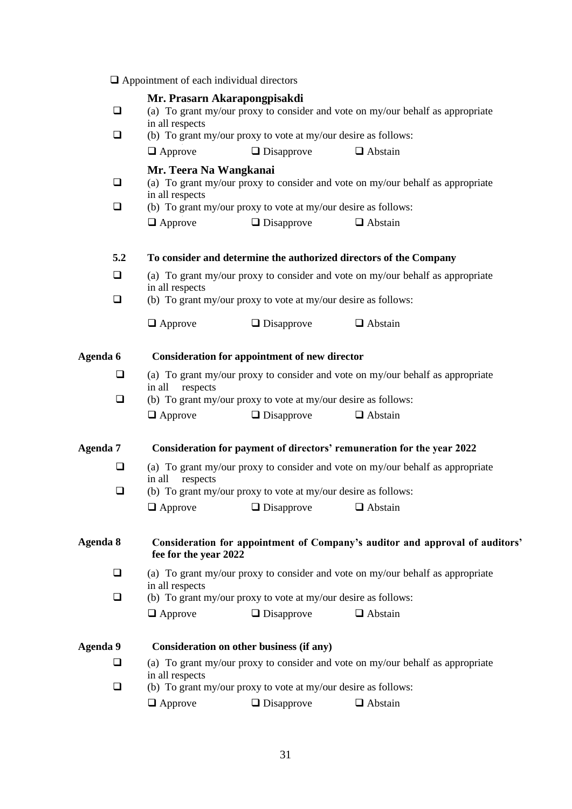|          | $\Box$ Appointment of each individual directors |                                                                |                                                                                |  |
|----------|-------------------------------------------------|----------------------------------------------------------------|--------------------------------------------------------------------------------|--|
|          | Mr. Prasarn Akarapongpisakdi                    |                                                                |                                                                                |  |
| ❏        | in all respects                                 |                                                                | (a) To grant my/our proxy to consider and vote on my/our behalf as appropriate |  |
| $\Box$   |                                                 | (b) To grant my/our proxy to vote at my/our desire as follows: |                                                                                |  |
|          | $\Box$ Approve                                  | $\Box$ Disapprove                                              | $\Box$ Abstain                                                                 |  |
|          | Mr. Teera Na Wangkanai                          |                                                                |                                                                                |  |
| ❏        | in all respects                                 |                                                                | (a) To grant my/our proxy to consider and vote on my/our behalf as appropriate |  |
| □        |                                                 | (b) To grant my/our proxy to vote at my/our desire as follows: |                                                                                |  |
|          | $\Box$ Approve                                  | $\Box$ Disapprove                                              | $\Box$ Abstain                                                                 |  |
| 5.2      |                                                 |                                                                | To consider and determine the authorized directors of the Company              |  |
| $\Box$   | in all respects                                 |                                                                | (a) To grant my/our proxy to consider and vote on my/our behalf as appropriate |  |
| □        |                                                 | (b) To grant my/our proxy to vote at my/our desire as follows: |                                                                                |  |
|          | $\Box$ Approve                                  | $\Box$ Disapprove                                              | $\Box$ Abstain                                                                 |  |
| Agenda 6 |                                                 | Consideration for appointment of new director                  |                                                                                |  |
| ❏        | in all<br>respects                              |                                                                | (a) To grant my/our proxy to consider and vote on my/our behalf as appropriate |  |
| $\Box$   |                                                 | (b) To grant my/our proxy to vote at my/our desire as follows: |                                                                                |  |
|          | $\Box$ Approve                                  | $\Box$ Disapprove                                              | $\Box$ Abstain                                                                 |  |
| Agenda 7 |                                                 |                                                                | Consideration for payment of directors' remuneration for the year 2022         |  |
| ❏        | respects<br>in all                              |                                                                | (a) To grant my/our proxy to consider and vote on my/our behalf as appropriate |  |
| ❏        |                                                 | (b) To grant my/our proxy to vote at my/our desire as follows: |                                                                                |  |
|          |                                                 | $\Box$ Approve $\Box$ Disapprove $\Box$ Abstain                |                                                                                |  |
| Agenda 8 | fee for the year 2022                           |                                                                | Consideration for appointment of Company's auditor and approval of auditors'   |  |
| □        | in all respects                                 |                                                                | (a) To grant my/our proxy to consider and vote on my/our behalf as appropriate |  |
| ❏        |                                                 | (b) To grant my/our proxy to vote at my/our desire as follows: |                                                                                |  |
|          | $\Box$ Approve                                  | $\Box$ Disapprove                                              | $\Box$ Abstain                                                                 |  |
| Agenda 9 |                                                 | Consideration on other business (if any)                       |                                                                                |  |
| □        | in all respects                                 |                                                                | (a) To grant my/our proxy to consider and vote on my/our behalf as appropriate |  |
| ❏        |                                                 | (b) To grant my/our proxy to vote at my/our desire as follows: |                                                                                |  |
|          | $\Box$ Approve                                  | $\Box$ Disapprove                                              | $\Box$ Abstain                                                                 |  |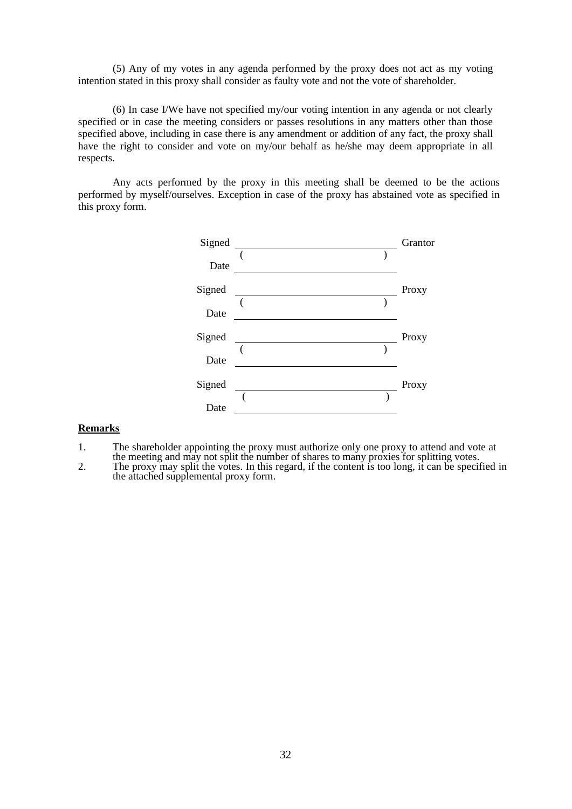(5) Any of my votes in any agenda performed by the proxy does not act as my voting intention stated in this proxy shall consider as faulty vote and not the vote of shareholder.

(6) In case I/We have not specified my/our voting intention in any agenda or not clearly specified or in case the meeting considers or passes resolutions in any matters other than those specified above, including in case there is any amendment or addition of any fact, the proxy shall have the right to consider and vote on my/our behalf as he/she may deem appropriate in all respects.

Any acts performed by the proxy in this meeting shall be deemed to be the actions performed by myself/ourselves. Exception in case of the proxy has abstained vote as specified in this proxy form.



#### **Remarks**

- 1. The shareholder appointing the proxy must authorize only one proxy to attend and vote at
- the meeting and may not split the number of shares to many proxies for splitting votes. 2. The proxy may split the votes. In this regard, if the content is too long, it can be specified in the attached supplemental proxy form.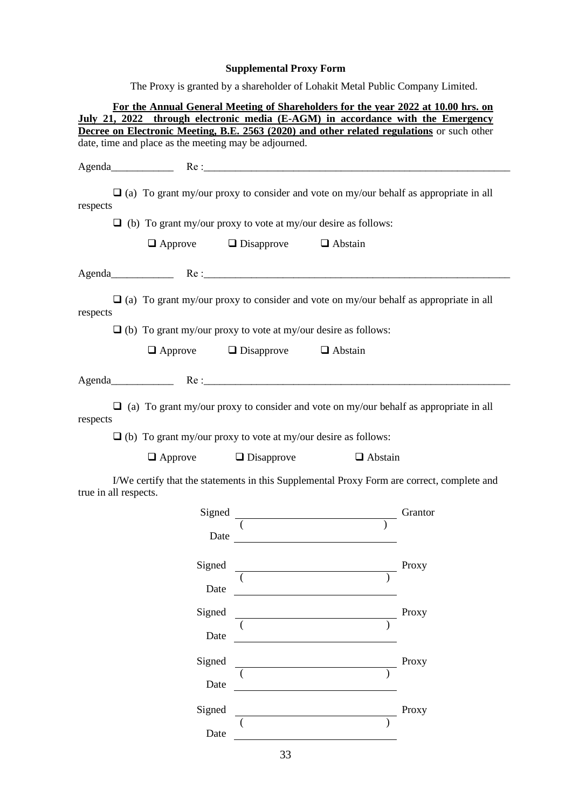# **Supplemental Proxy Form**

The Proxy is granted by a shareholder of Lohakit Metal Public Company Limited.

|                                                       | For the Annual General Meeting of Shareholders for the year 2022 at 10.00 hrs. on                                                                                             |       |
|-------------------------------------------------------|-------------------------------------------------------------------------------------------------------------------------------------------------------------------------------|-------|
|                                                       | July 21, 2022 through electronic media (E-AGM) in accordance with the Emergency<br>Decree on Electronic Meeting, B.E. 2563 (2020) and other related regulations or such other |       |
| date, time and place as the meeting may be adjourned. |                                                                                                                                                                               |       |
|                                                       |                                                                                                                                                                               |       |
|                                                       |                                                                                                                                                                               |       |
|                                                       | $\Box$ (a) To grant my/our proxy to consider and vote on my/our behalf as appropriate in all                                                                                  |       |
| respects                                              |                                                                                                                                                                               |       |
|                                                       | $\Box$ (b) To grant my/our proxy to vote at my/our desire as follows:                                                                                                         |       |
|                                                       | $\Box$ Approve $\Box$ Disapprove $\Box$ Abstain                                                                                                                               |       |
|                                                       |                                                                                                                                                                               |       |
| respects                                              | $\Box$ (a) To grant my/our proxy to consider and vote on my/our behalf as appropriate in all                                                                                  |       |
|                                                       | $\Box$ (b) To grant my/our proxy to vote at my/our desire as follows:                                                                                                         |       |
|                                                       | $\Box$ Approve $\Box$ Disapprove $\Box$ Abstain                                                                                                                               |       |
|                                                       |                                                                                                                                                                               |       |
|                                                       |                                                                                                                                                                               |       |
| respects                                              | $\Box$ (a) To grant my/our proxy to consider and vote on my/our behalf as appropriate in all<br>$\Box$ (b) To grant my/our proxy to vote at my/our desire as follows:         |       |
| $\Box$ Approve $\Box$ Disapprove                      | $\Box$ Abstain                                                                                                                                                                |       |
| true in all respects.                                 | I/We certify that the statements in this Supplemental Proxy Form are correct, complete and                                                                                    |       |
|                                                       |                                                                                                                                                                               |       |
|                                                       |                                                                                                                                                                               |       |
| Date                                                  |                                                                                                                                                                               |       |
|                                                       |                                                                                                                                                                               | Proxy |
| Signed                                                |                                                                                                                                                                               |       |
| Date                                                  | <u> 1989 - Johann Barn, mars ann an t-Amhain an t-Amhain an t-Amhain an t-Amhain an t-Amhain an t-Amhain an t-A</u>                                                           |       |
| Signed                                                |                                                                                                                                                                               | Proxy |
|                                                       |                                                                                                                                                                               |       |
| Date                                                  | <u> 1989 - Johann Stoff, Amerikaansk politiker (</u>                                                                                                                          |       |
| Signed                                                |                                                                                                                                                                               | Proxy |
|                                                       |                                                                                                                                                                               |       |
| Date                                                  |                                                                                                                                                                               |       |
| Signed                                                | <u> 1989 - Johann Barn, mars ann an t-Aonaich an t-Aonaich an t-Aonaich an t-Aonaich an t-Aonaich ann an t-Aonaich</u>                                                        | Proxy |
| Date                                                  |                                                                                                                                                                               |       |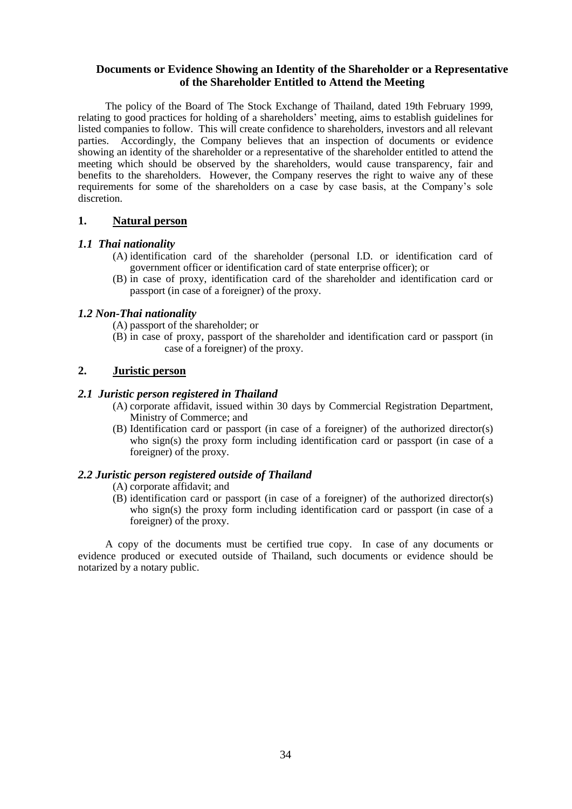# **Documents or Evidence Showing an Identity of the Shareholder or a Representative of the Shareholder Entitled to Attend the Meeting**

The policy of the Board of The Stock Exchange of Thailand, dated 19th February 1999, relating to good practices for holding of a shareholders' meeting, aims to establish guidelines for listed companies to follow. This will create confidence to shareholders, investors and all relevant parties. Accordingly, the Company believes that an inspection of documents or evidence showing an identity of the shareholder or a representative of the shareholder entitled to attend the meeting which should be observed by the shareholders, would cause transparency, fair and benefits to the shareholders. However, the Company reserves the right to waive any of these requirements for some of the shareholders on a case by case basis, at the Company's sole discretion.

## **1. Natural person**

## *1.1 Thai nationality*

- (A) identification card of the shareholder (personal I.D. or identification card of government officer or identification card of state enterprise officer); or
- (B) in case of proxy, identification card of the shareholder and identification card or passport (in case of a foreigner) of the proxy.

# *1.2 Non-Thai nationality*

- (A) passport of the shareholder; or
- (B) in case of proxy, passport of the shareholder and identification card or passport (in case of a foreigner) of the proxy.

# **2. Juristic person**

## *2.1 Juristic person registered in Thailand*

- (A) corporate affidavit, issued within 30 days by Commercial Registration Department, Ministry of Commerce; and
- (B) Identification card or passport (in case of a foreigner) of the authorized director(s) who sign(s) the proxy form including identification card or passport (in case of a foreigner) of the proxy.

# *2.2 Juristic person registered outside of Thailand*

- (A) corporate affidavit; and
- (B) identification card or passport (in case of a foreigner) of the authorized director(s) who sign(s) the proxy form including identification card or passport (in case of a foreigner) of the proxy.

A copy of the documents must be certified true copy. In case of any documents or evidence produced or executed outside of Thailand, such documents or evidence should be notarized by a notary public.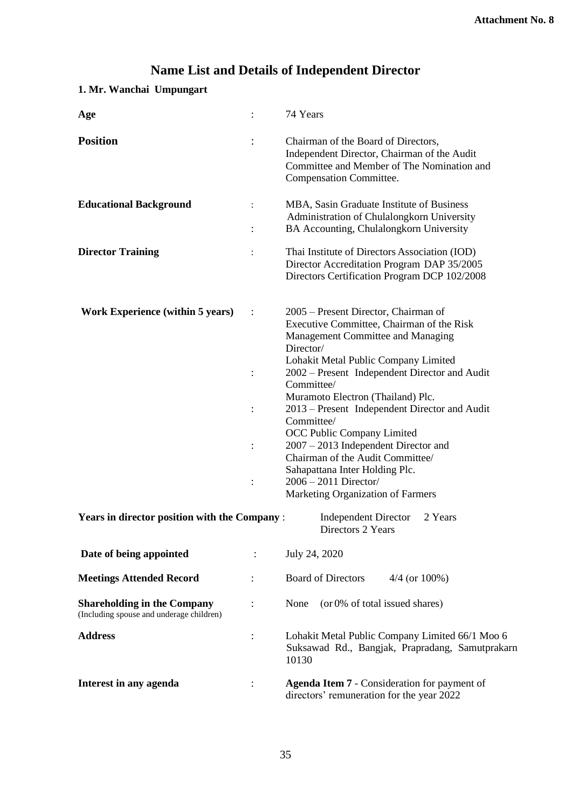# **Name List and Details of Independent Director**

# **1. Mr. Wanchai Umpungart**

| Age                                                                            |                                  | 74 Years                                                                                                                                                                                                                                                                                                                                                                                                                                                                                                                                                     |
|--------------------------------------------------------------------------------|----------------------------------|--------------------------------------------------------------------------------------------------------------------------------------------------------------------------------------------------------------------------------------------------------------------------------------------------------------------------------------------------------------------------------------------------------------------------------------------------------------------------------------------------------------------------------------------------------------|
| <b>Position</b>                                                                |                                  | Chairman of the Board of Directors,<br>Independent Director, Chairman of the Audit<br>Committee and Member of The Nomination and<br>Compensation Committee.                                                                                                                                                                                                                                                                                                                                                                                                  |
| <b>Educational Background</b>                                                  | $\ddot{\cdot}$<br>$\ddot{\cdot}$ | MBA, Sasin Graduate Institute of Business<br>Administration of Chulalongkorn University<br>BA Accounting, Chulalongkorn University                                                                                                                                                                                                                                                                                                                                                                                                                           |
| <b>Director Training</b>                                                       | $\ddot{\cdot}$                   | Thai Institute of Directors Association (IOD)<br>Director Accreditation Program DAP 35/2005<br>Directors Certification Program DCP 102/2008                                                                                                                                                                                                                                                                                                                                                                                                                  |
| <b>Work Experience (within 5 years)</b>                                        | $\ddot{\cdot}$                   | 2005 – Present Director, Chairman of<br>Executive Committee, Chairman of the Risk<br>Management Committee and Managing<br>Director/<br>Lohakit Metal Public Company Limited<br>2002 - Present Independent Director and Audit<br>Committee/<br>Muramoto Electron (Thailand) Plc.<br>2013 – Present Independent Director and Audit<br>Committee/<br>OCC Public Company Limited<br>$2007 - 2013$ Independent Director and<br>Chairman of the Audit Committee/<br>Sahapattana Inter Holding Plc.<br>$2006 - 2011$ Director/<br>Marketing Organization of Farmers |
| <b>Years in director position with the Company:</b>                            |                                  | <b>Independent Director</b><br>2 Years<br>Directors 2 Years                                                                                                                                                                                                                                                                                                                                                                                                                                                                                                  |
| Date of being appointed                                                        |                                  | July 24, 2020                                                                                                                                                                                                                                                                                                                                                                                                                                                                                                                                                |
| <b>Meetings Attended Record</b>                                                |                                  | <b>Board of Directors</b><br>$4/4$ (or $100\%$ )                                                                                                                                                                                                                                                                                                                                                                                                                                                                                                             |
| <b>Shareholding in the Company</b><br>(Including spouse and underage children) |                                  | (or 0% of total issued shares)<br>None                                                                                                                                                                                                                                                                                                                                                                                                                                                                                                                       |
| <b>Address</b>                                                                 | $\ddot{\cdot}$                   | Lohakit Metal Public Company Limited 66/1 Moo 6<br>Suksawad Rd., Bangjak, Prapradang, Samutprakarn<br>10130                                                                                                                                                                                                                                                                                                                                                                                                                                                  |
| Interest in any agenda                                                         |                                  | <b>Agenda Item 7 - Consideration for payment of</b><br>directors' remuneration for the year 2022                                                                                                                                                                                                                                                                                                                                                                                                                                                             |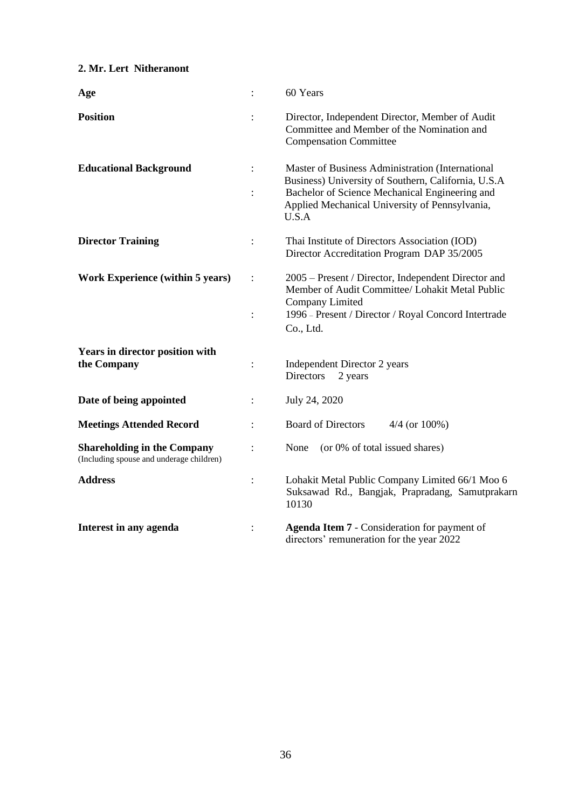# **2. Mr. Lert Nitheranont**

| Age                                                                            | $\ddot{\cdot}$                         | 60 Years                                                                                                                                                                                                             |
|--------------------------------------------------------------------------------|----------------------------------------|----------------------------------------------------------------------------------------------------------------------------------------------------------------------------------------------------------------------|
| <b>Position</b>                                                                |                                        | Director, Independent Director, Member of Audit<br>Committee and Member of the Nomination and<br><b>Compensation Committee</b>                                                                                       |
| <b>Educational Background</b>                                                  | $\ddot{\phantom{a}}$<br>$\ddot{\cdot}$ | Master of Business Administration (International<br>Business) University of Southern, California, U.S.A<br>Bachelor of Science Mechanical Engineering and<br>Applied Mechanical University of Pennsylvania,<br>U.S.A |
| <b>Director Training</b>                                                       | $\ddot{\cdot}$                         | Thai Institute of Directors Association (IOD)<br>Director Accreditation Program DAP 35/2005                                                                                                                          |
| <b>Work Experience (within 5 years)</b>                                        | $\ddot{\cdot}$<br>$\ddot{\cdot}$       | 2005 – Present / Director, Independent Director and<br>Member of Audit Committee/ Lohakit Metal Public<br>Company Limited<br>1996 - Present / Director / Royal Concord Intertrade<br>Co., Ltd.                       |
| <b>Years in director position with</b><br>the Company                          | $\ddot{\cdot}$                         | Independent Director 2 years<br><b>Directors</b><br>2 years                                                                                                                                                          |
| Date of being appointed                                                        | $\ddot{\cdot}$                         | July 24, 2020                                                                                                                                                                                                        |
| <b>Meetings Attended Record</b>                                                | $\ddot{\cdot}$                         | <b>Board of Directors</b><br>$4/4$ (or $100\%$ )                                                                                                                                                                     |
| <b>Shareholding in the Company</b><br>(Including spouse and underage children) |                                        | None<br>(or 0% of total issued shares)                                                                                                                                                                               |
| <b>Address</b>                                                                 | $\ddot{\cdot}$                         | Lohakit Metal Public Company Limited 66/1 Moo 6<br>Suksawad Rd., Bangjak, Prapradang, Samutprakarn<br>10130                                                                                                          |
| Interest in any agenda                                                         | $\ddot{\cdot}$                         | <b>Agenda Item 7 - Consideration for payment of</b><br>directors' remuneration for the year 2022                                                                                                                     |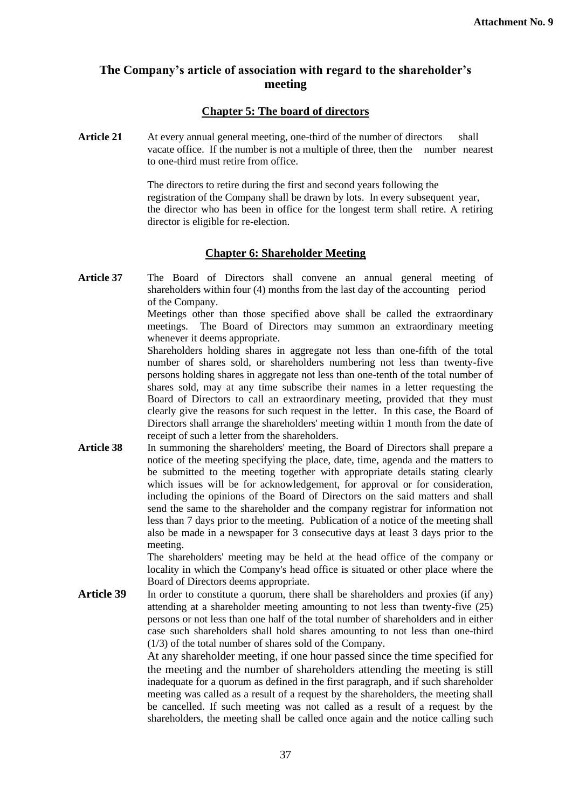# **The Company's article of association with regard to the shareholder's meeting**

# **Chapter 5: The board of directors**

Article 21 At every annual general meeting, one-third of the number of directors shall vacate office. If the number is not a multiple of three, then the number nearest to one-third must retire from office.

> The directors to retire during the first and second years following the registration of the Company shall be drawn by lots. In every subsequent year, the director who has been in office for the longest term shall retire. A retiring director is eligible for re-election.

# **Chapter 6: Shareholder Meeting**

**Article 37** The Board of Directors shall convene an annual general meeting of shareholders within four (4) months from the last day of the accounting period of the Company.

Meetings other than those specified above shall be called the extraordinary meetings. The Board of Directors may summon an extraordinary meeting whenever it deems appropriate.

Shareholders holding shares in aggregate not less than one-fifth of the total number of shares sold, or shareholders numbering not less than twenty-five persons holding shares in aggregate not less than one-tenth of the total number of shares sold, may at any time subscribe their names in a letter requesting the Board of Directors to call an extraordinary meeting, provided that they must clearly give the reasons for such request in the letter. In this case, the Board of Directors shall arrange the shareholders' meeting within 1 month from the date of receipt of such a letter from the shareholders.

**Article 38** In summoning the shareholders' meeting, the Board of Directors shall prepare a notice of the meeting specifying the place, date, time, agenda and the matters to be submitted to the meeting together with appropriate details stating clearly which issues will be for acknowledgement, for approval or for consideration, including the opinions of the Board of Directors on the said matters and shall send the same to the shareholder and the company registrar for information not less than 7 days prior to the meeting. Publication of a notice of the meeting shall also be made in a newspaper for 3 consecutive days at least 3 days prior to the meeting.

> The shareholders' meeting may be held at the head office of the company or locality in which the Company's head office is situated or other place where the Board of Directors deems appropriate.

Article 39 In order to constitute a quorum, there shall be shareholders and proxies (if any) attending at a shareholder meeting amounting to not less than twenty-five (25) persons or not less than one half of the total number of shareholders and in either case such shareholders shall hold shares amounting to not less than one-third (1/3) of the total number of shares sold of the Company.

> At any shareholder meeting, if one hour passed since the time specified for the meeting and the number of shareholders attending the meeting is still inadequate for a quorum as defined in the first paragraph, and if such shareholder meeting was called as a result of a request by the shareholders, the meeting shall be cancelled. If such meeting was not called as a result of a request by the shareholders, the meeting shall be called once again and the notice calling such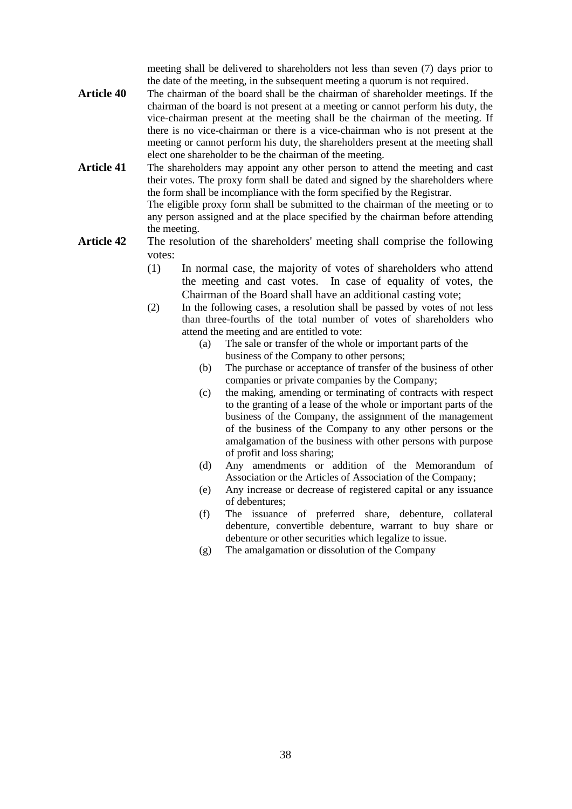meeting shall be delivered to shareholders not less than seven (7) days prior to the date of the meeting, in the subsequent meeting a quorum is not required.

- **Article 40** The chairman of the board shall be the chairman of shareholder meetings. If the chairman of the board is not present at a meeting or cannot perform his duty, the vice-chairman present at the meeting shall be the chairman of the meeting. If there is no vice-chairman or there is a vice-chairman who is not present at the meeting or cannot perform his duty, the shareholders present at the meeting shall elect one shareholder to be the chairman of the meeting.
- **Article 41** The shareholders may appoint any other person to attend the meeting and cast their votes. The proxy form shall be dated and signed by the shareholders where the form shall be incompliance with the form specified by the Registrar. The eligible proxy form shall be submitted to the chairman of the meeting or to any person assigned and at the place specified by the chairman before attending the meeting.
- **Article 42** The resolution of the shareholders' meeting shall comprise the following votes:
	- (1) In normal case, the majority of votes of shareholders who attend the meeting and cast votes. In case of equality of votes, the Chairman of the Board shall have an additional casting vote;
	- (2) In the following cases, a resolution shall be passed by votes of not less than three-fourths of the total number of votes of shareholders who attend the meeting and are entitled to vote:
		- (a) The sale or transfer of the whole or important parts of the business of the Company to other persons;
		- (b) The purchase or acceptance of transfer of the business of other companies or private companies by the Company;
		- (c) the making, amending or terminating of contracts with respect to the granting of a lease of the whole or important parts of the business of the Company, the assignment of the management of the business of the Company to any other persons or the amalgamation of the business with other persons with purpose of profit and loss sharing;
		- (d) Any amendments or addition of the Memorandum of Association or the Articles of Association of the Company;
		- (e) Any increase or decrease of registered capital or any issuance of debentures;
		- (f) The issuance of preferred share, debenture, collateral debenture, convertible debenture, warrant to buy share or debenture or other securities which legalize to issue.
		- (g) The amalgamation or dissolution of the Company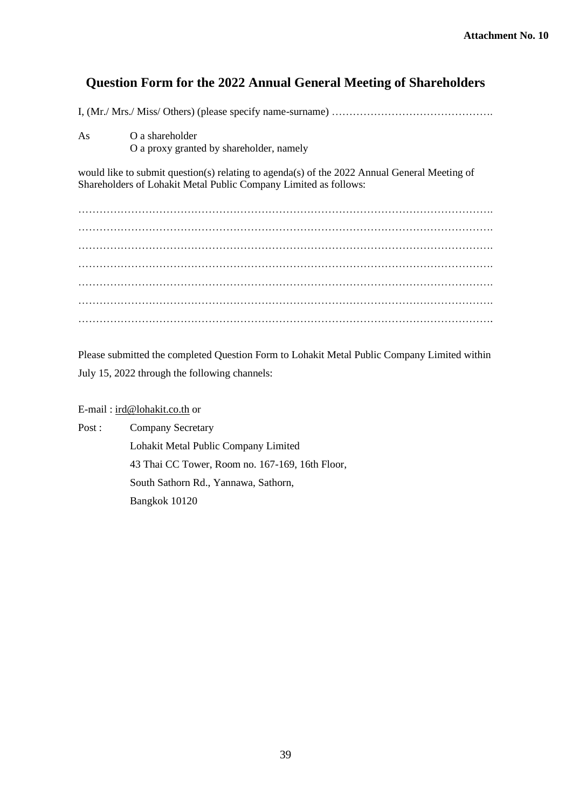# **Question Form for the 2022 Annual General Meeting of Shareholders**

I, (Mr./ Mrs./ Miss/ Others) (please specify name-surname) ……………………………………….

As O a shareholder O a proxy granted by shareholder, namely

would like to submit question(s) relating to agenda(s) of the 2022 Annual General Meeting of Shareholders of Lohakit Metal Public Company Limited as follows:

………………………………………………………………………………………………………. ………………………………………………………………………………………………………. ………………………………………………………………………………………………………. ………………………………………………………………………………………………………. ………………………………………………………………………………………………………. ………………………………………………………………………………………………………. ……………………………………………………………………………………………………….

Please submitted the completed Question Form to Lohakit Metal Public Company Limited within July 15, 2022 through the following channels:

## E-mail : [ird@lohakit.co.th](mailto:ird@lohakit.co.th) or

Post : Company Secretary Lohakit Metal Public Company Limited 43 Thai CC Tower, Room no. 167-169, 16th Floor, South Sathorn Rd., Yannawa, Sathorn, Bangkok 10120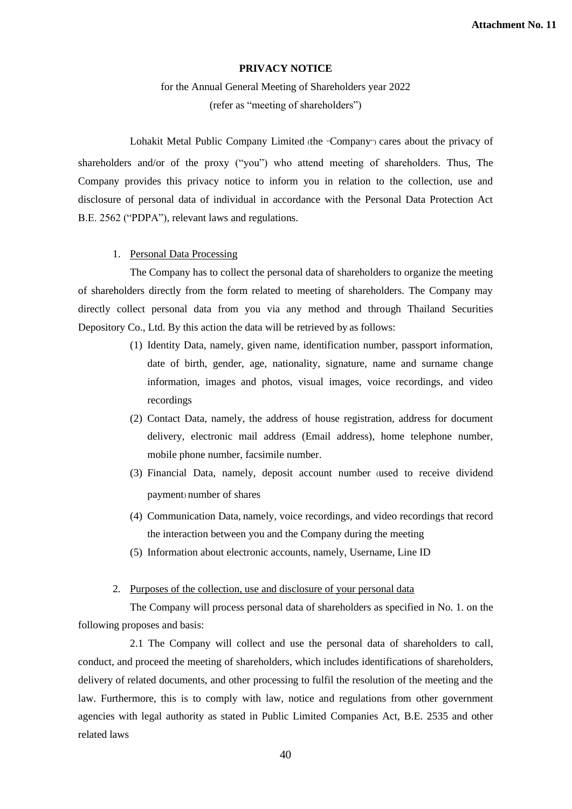# **PRIVACY NOTICE**

for the Annual General Meeting of Shareholders year 2022 (refer as "meeting of shareholders")

Lohakit Metal Public Company Limited (the "Company") cares about the privacy of shareholders and/or of the proxy ("you") who attend meeting of shareholders. Thus, The Company provides this privacy notice to inform you in relation to the collection, use and disclosure of personal data of individual in accordance with the Personal Data Protection Act B.E. 2562 ("PDPA"), relevant laws and regulations.

#### 1. Personal Data Processing

The Company has to collect the personal data of shareholders to organize the meeting of shareholders directly from the form related to meeting of shareholders. The Company may directly collect personal data from you via any method and through Thailand Securities Depository Co., Ltd. By this action the data will be retrieved by as follows:

- (1) Identity Data, namely, given name, identification number, passport information, date of birth, gender, age, nationality, signature, name and surname change information, images and photos, visual images, voice recordings, and video recordings
- (2) Contact Data, namely, the address of house registration, address for document delivery, electronic mail address (Email address), home telephone number, mobile phone number, facsimile number.
- (3) Financial Data, namely, deposit account number (used to receive dividend payment) number of shares
- (4) Communication Data, namely, voice recordings, and video recordings that record the interaction between you and the Company during the meeting
- (5) Information about electronic accounts, namely, Username, Line ID
- 2. Purposes of the collection, use and disclosure of your personal data

The Company will process personal data of shareholders as specified in No. 1. on the following proposes and basis:

2.1 The Company will collect and use the personal data of shareholders to call, conduct, and proceed the meeting of shareholders, which includes identifications of shareholders, delivery of related documents, and other processing to fulfil the resolution of the meeting and the law. Furthermore, this is to comply with law, notice and regulations from other government agencies with legal authority as stated in Public Limited Companies Act, B.E. 2535 and other related laws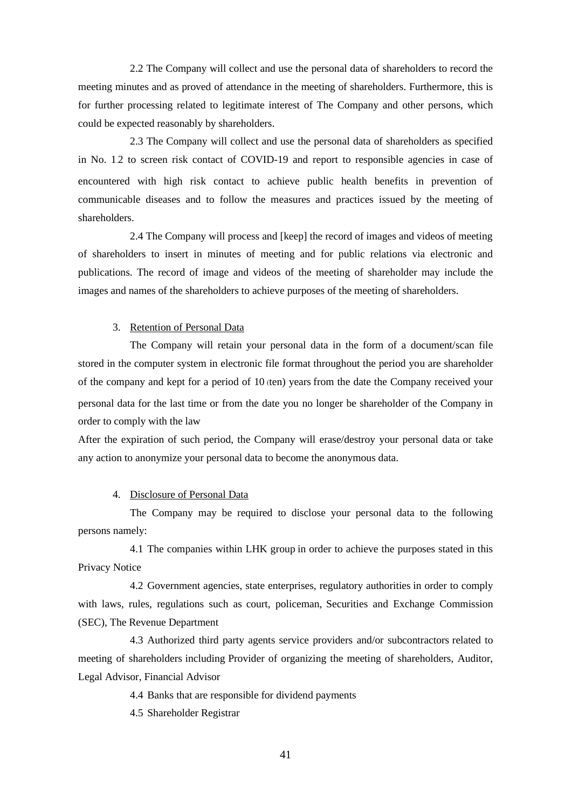2.2 The Company will collect and use the personal data of shareholders to record the meeting minutes and as proved of attendance in the meeting of shareholders. Furthermore, this is for further processing related to legitimate interest of The Company and other persons, which could be expected reasonably by shareholders.

2.3 The Company will collect and use the personal data of shareholders as specified in No. 1.2 to screen risk contact of COVID-19 and report to responsible agencies in case of encountered with high risk contact to achieve public health benefits in prevention of communicable diseases and to follow the measures and practices issued by the meeting of shareholders.

2.4 The Company will process and [keep] the record of images and videos of meeting of shareholders to insert in minutes of meeting and for public relations via electronic and publications. The record of image and videos of the meeting of shareholder may include the images and names of the shareholders to achieve purposes of the meeting of shareholders.

#### 3. Retention of Personal Data

The Company will retain your personal data in the form of a document/scan file stored in the computer system in electronic file format throughout the period you are shareholder of the company and kept for a period of 10 (ten) years from the date the Company received your personal data for the last time or from the date you no longer be shareholder of the Company in order to comply with the law

After the expiration of such period, the Company will erase/destroy your personal data or take any action to anonymize your personal data to become the anonymous data.

#### 4. Disclosure of Personal Data

The Company may be required to disclose your personal data to the following persons namely:

4.1 The companies within LHK group in order to achieve the purposes stated in this Privacy Notice

4.2 Government agencies, state enterprises, regulatory authorities in order to comply with laws, rules, regulations such as court, policeman, Securities and Exchange Commission (SEC), The Revenue Department

4.3 Authorized third party agents service providers and/or subcontractors related to meeting of shareholders including Provider of organizing the meeting of shareholders, Auditor, Legal Advisor, Financial Advisor

4.4 Banks that are responsible for dividend payments

4.5 Shareholder Registrar